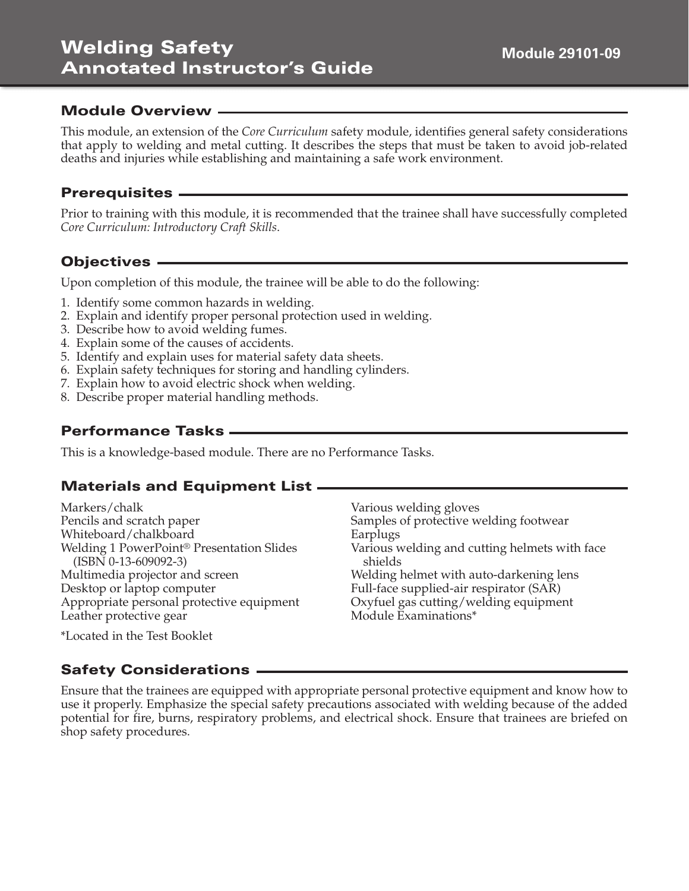# **Welding Safety Annotated Instructor's Guide**

#### **Module Overview**

This module, an extension of the *Core Curriculum* safety module, identifies general safety considerations that apply to welding and metal cutting. It describes the steps that must be taken to avoid job-related deaths and injuries while establishing and maintaining a safe work environment.

#### **Prerequisites**

Prior to training with this module, it is recommended that the trainee shall have successfully completed *Core Curriculum: Introductory Craft Skills*.

## **Objectives**

Upon completion of this module, the trainee will be able to do the following:

- 1. Identify some common hazards in welding.
- 2. Explain and identify proper personal protection used in welding.
- 3. Describe how to avoid welding fumes.
- 4. Explain some of the causes of accidents.
- 5. Identify and explain uses for material safety data sheets.
- 6. Explain safety techniques for storing and handling cylinders.
- 7. Explain how to avoid electric shock when welding.
- 8. Describe proper material handling methods.

## **Performance Tasks**

This is a knowledge-based module. There are no Performance Tasks.

## **Materials and Equipment List**

Markers/chalk Pencils and scratch paper Whiteboard/chalkboard Welding 1 PowerPoint® Presentation Slides (ISBN 0-13-609092-3) Multimedia projector and screen Desktop or laptop computer Appropriate personal protective equipment Leather protective gear

Various welding gloves Samples of protective welding footwear Earplugs Various welding and cutting helmets with face shields Welding helmet with auto-darkening lens Full-face supplied-air respirator (SAR) Oxyfuel gas cutting/welding equipment Module Examinations\*

\*Located in the Test Booklet

## **Safety Considerations**

Ensure that the trainees are equipped with appropriate personal protective equipment and know how to use it properly. Emphasize the special safety precautions associated with welding because of the added potential for fire, burns, respiratory problems, and electrical shock. Ensure that trainees are briefed on shop safety procedures.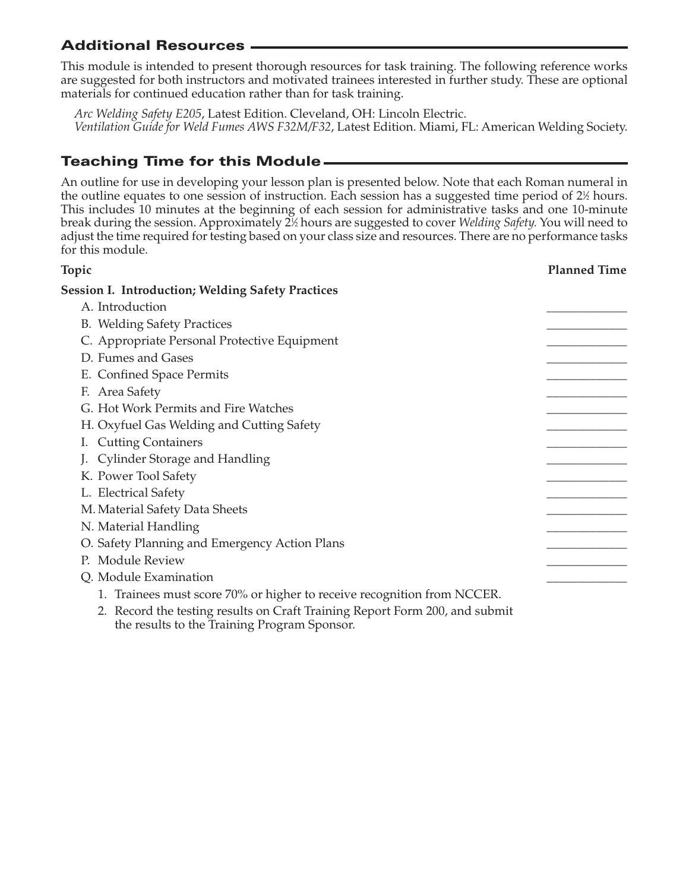# **Additional Resources**

This module is intended to present thorough resources for task training. The following reference works are suggested for both instructors and motivated trainees interested in further study. These are optional materials for continued education rather than for task training.

*Arc Welding Safety E205*, Latest Edition. Cleveland, OH: Lincoln Electric. *Ventilation Guide for Weld Fumes AWS F32M/F32*, Latest Edition. Miami, FL: American Welding Society.

# **Teaching Time for this Module**

An outline for use in developing your lesson plan is presented below. Note that each Roman numeral in the outline equates to one session of instruction. Each session has a suggested time period of 2½ hours. This includes 10 minutes at the beginning of each session for administrative tasks and one 10-minute break during the session. Approximately 21 ⁄2 hours are suggested to cover *Welding Safety.* You will need to adjust the time required for testing based on your class size and resources. There are no performance tasks for this module.

| Topic                                                                                                                       | <b>Planned Time</b> |
|-----------------------------------------------------------------------------------------------------------------------------|---------------------|
| <b>Session I. Introduction; Welding Safety Practices</b>                                                                    |                     |
| A. Introduction                                                                                                             |                     |
| <b>B.</b> Welding Safety Practices                                                                                          |                     |
| C. Appropriate Personal Protective Equipment                                                                                |                     |
| D. Fumes and Gases                                                                                                          |                     |
| E. Confined Space Permits                                                                                                   |                     |
| F. Area Safety                                                                                                              |                     |
| G. Hot Work Permits and Fire Watches                                                                                        |                     |
| H. Oxyfuel Gas Welding and Cutting Safety                                                                                   |                     |
| I. Cutting Containers                                                                                                       |                     |
| J. Cylinder Storage and Handling                                                                                            |                     |
| K. Power Tool Safety                                                                                                        |                     |
| L. Electrical Safety                                                                                                        |                     |
| M. Material Safety Data Sheets                                                                                              |                     |
| N. Material Handling                                                                                                        |                     |
| O. Safety Planning and Emergency Action Plans                                                                               |                     |
| P. Module Review                                                                                                            |                     |
| Q. Module Examination                                                                                                       |                     |
| 1. Trainees must score 70% or higher to receive recognition from NCCER.                                                     |                     |
| 2. Record the testing results on Craft Training Report Form 200, and submit<br>the results to the Training Program Sponsor. |                     |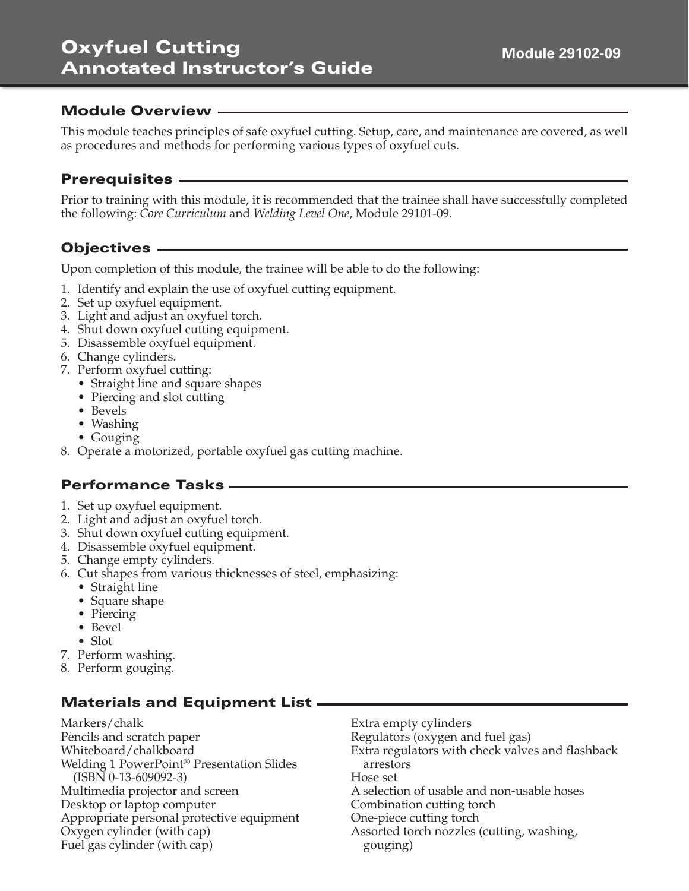# **Oxyfuel Cutting Annotated Instructor's Guide**

## **Module Overview**

This module teaches principles of safe oxyfuel cutting. Setup, care, and maintenance are covered, as well as procedures and methods for performing various types of oxyfuel cuts.

#### **Prerequisites**

Prior to training with this module, it is recommended that the trainee shall have successfully completed the following: *Core Curriculum* and *Welding Level One*, Module 29101-09.

## **Objectives**

Upon completion of this module, the trainee will be able to do the following:

- 1. Identify and explain the use of oxyfuel cutting equipment.
- 2. Set up oxyfuel equipment.
- 3. Light and adjust an oxyfuel torch.
- 4. Shut down oxyfuel cutting equipment.
- 5. Disassemble oxyfuel equipment.
- 6. Change cylinders.
- 7. Perform oxyfuel cutting:
	- Straight line and square shapes
	- Piercing and slot cutting
	- Bevels
	- Washing
	- Gouging
- 8. Operate a motorized, portable oxyfuel gas cutting machine.

## **Performance Tasks**

- 1. Set up oxyfuel equipment.
- 2. Light and adjust an oxyfuel torch.
- 3. Shut down oxyfuel cutting equipment.
- 4. Disassemble oxyfuel equipment.
- 5. Change empty cylinders.
- 6. Cut shapes from various thicknesses of steel, emphasizing:
	- Straight line
	- Square shape
	- Piercing
	- Bevel
	- Slot
- 7. Perform washing.
- 8. Perform gouging.

# **Materials and Equipment List**

Markers/chalk Pencils and scratch paper Whiteboard/chalkboard Welding 1 PowerPoint® Presentation Slides (ISBN 0-13-609092-3) Multimedia projector and screen Desktop or laptop computer Appropriate personal protective equipment Oxygen cylinder (with cap) Fuel gas cylinder (with cap)

Extra empty cylinders Regulators (oxygen and fuel gas) Extra regulators with check valves and flashback arrestors Hose set A selection of usable and non-usable hoses Combination cutting torch One-piece cutting torch Assorted torch nozzles (cutting, washing, gouging)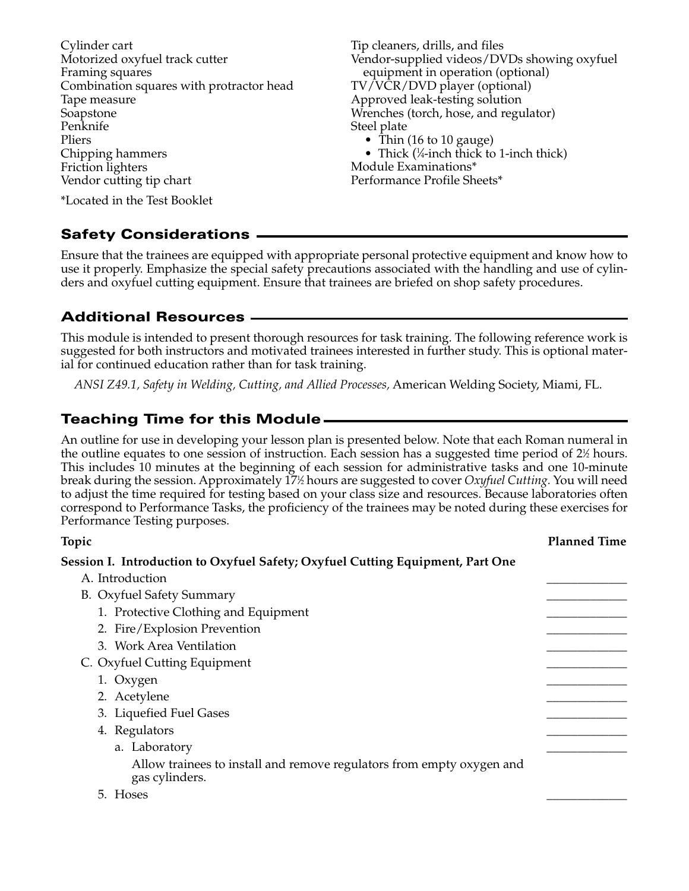Cylinder cart Motorized oxyfuel track cutter Framing squares Combination squares with protractor head Tape measure Soapstone Penknife Pliers Chipping hammers Friction lighters Vendor cutting tip chart

Tip cleaners, drills, and files Vendor-supplied videos/DVDs showing oxyfuel equipment in operation (optional) TV/VCR/DVD player (optional) Approved leak-testing solution Wrenches (torch, hose, and regulator) Steel plate • Thin (16 to 10 gauge)

• Thick  $(\frac{1}{4}$ -inch thick to 1-inch thick) Module Examinations\* Performance Profile Sheets\*

\*Located in the Test Booklet

#### **Safety Considerations**

Ensure that the trainees are equipped with appropriate personal protective equipment and know how to use it properly. Emphasize the special safety precautions associated with the handling and use of cylinders and oxyfuel cutting equipment. Ensure that trainees are briefed on shop safety procedures.

#### **Additional Resources**

This module is intended to present thorough resources for task training. The following reference work is suggested for both instructors and motivated trainees interested in further study. This is optional material for continued education rather than for task training.

*ANSI Z49.1, Safety in Welding, Cutting, and Allied Processes,* American Welding Society, Miami, FL.

## **Teaching Time for this Module**

An outline for use in developing your lesson plan is presented below. Note that each Roman numeral in the outline equates to one session of instruction. Each session has a suggested time period of  $2\%$  hours. This includes 10 minutes at the beginning of each session for administrative tasks and one 10-minute break during the session. Approximately 171 ⁄2 hours are suggested to cover *Oxyfuel Cutting.* You will need to adjust the time required for testing based on your class size and resources. Because laboratories often correspond to Performance Tasks, the proficiency of the trainees may be noted during these exercises for Performance Testing purposes.

#### **Topic Planned Time**

#### **Session I. Introduction to Oxyfuel Safety; Oxyfuel Cutting Equipment, Part One**

| A. Introduction                                                                         |  |
|-----------------------------------------------------------------------------------------|--|
| B. Oxyfuel Safety Summary                                                               |  |
| 1. Protective Clothing and Equipment                                                    |  |
| 2. Fire/Explosion Prevention                                                            |  |
| 3. Work Area Ventilation                                                                |  |
| C. Oxyfuel Cutting Equipment                                                            |  |
| 1. Oxygen                                                                               |  |
| 2. Acetylene                                                                            |  |
| 3. Liquefied Fuel Gases                                                                 |  |
| 4. Regulators                                                                           |  |
| a. Laboratory                                                                           |  |
| Allow trainees to install and remove regulators from empty oxygen and<br>gas cylinders. |  |
| 5. Hoses                                                                                |  |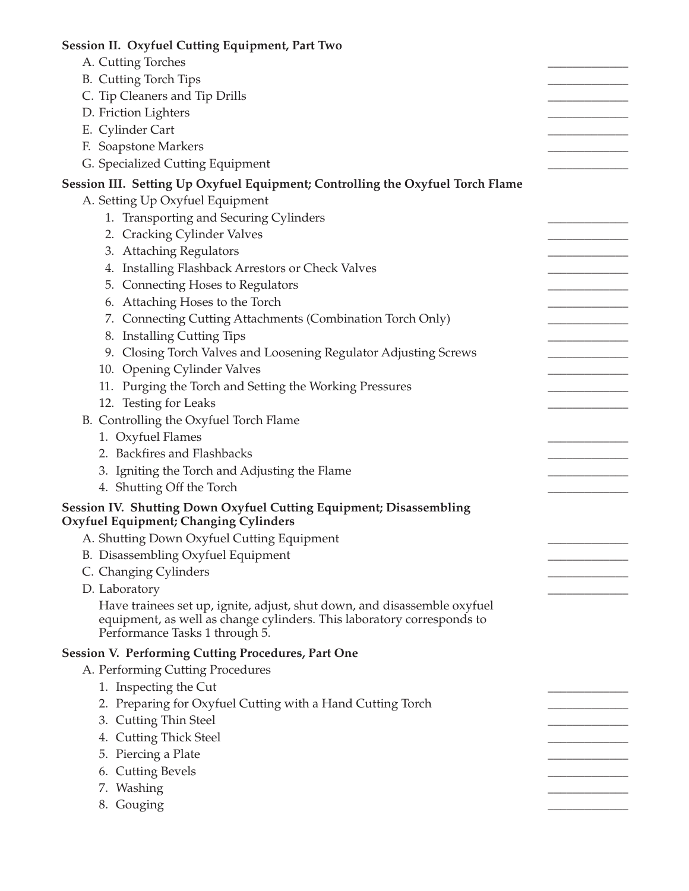| Session II. Oxyfuel Cutting Equipment, Part Two                                                                    |  |
|--------------------------------------------------------------------------------------------------------------------|--|
| A. Cutting Torches                                                                                                 |  |
| <b>B.</b> Cutting Torch Tips                                                                                       |  |
| C. Tip Cleaners and Tip Drills                                                                                     |  |
| D. Friction Lighters                                                                                               |  |
| E. Cylinder Cart                                                                                                   |  |
| F. Soapstone Markers                                                                                               |  |
| G. Specialized Cutting Equipment                                                                                   |  |
| Session III. Setting Up Oxyfuel Equipment; Controlling the Oxyfuel Torch Flame                                     |  |
| A. Setting Up Oxyfuel Equipment                                                                                    |  |
| 1. Transporting and Securing Cylinders                                                                             |  |
| 2. Cracking Cylinder Valves                                                                                        |  |
| 3. Attaching Regulators                                                                                            |  |
| 4. Installing Flashback Arrestors or Check Valves                                                                  |  |
| 5. Connecting Hoses to Regulators                                                                                  |  |
| 6. Attaching Hoses to the Torch                                                                                    |  |
| 7. Connecting Cutting Attachments (Combination Torch Only)                                                         |  |
| 8. Installing Cutting Tips                                                                                         |  |
| 9. Closing Torch Valves and Loosening Regulator Adjusting Screws                                                   |  |
| 10. Opening Cylinder Valves                                                                                        |  |
| 11. Purging the Torch and Setting the Working Pressures                                                            |  |
| 12. Testing for Leaks                                                                                              |  |
| B. Controlling the Oxyfuel Torch Flame                                                                             |  |
|                                                                                                                    |  |
| 1. Oxyfuel Flames<br>2. Backfires and Flashbacks                                                                   |  |
| 3. Igniting the Torch and Adjusting the Flame                                                                      |  |
|                                                                                                                    |  |
| 4. Shutting Off the Torch                                                                                          |  |
| Session IV. Shutting Down Oxyfuel Cutting Equipment; Disassembling<br><b>Oxyfuel Equipment; Changing Cylinders</b> |  |
| A. Shutting Down Oxyfuel Cutting Equipment                                                                         |  |
| B. Disassembling Oxyfuel Equipment                                                                                 |  |
| C. Changing Cylinders                                                                                              |  |
| D. Laboratory                                                                                                      |  |
| Have trainees set up, ignite, adjust, shut down, and disassemble oxyfuel                                           |  |
| equipment, as well as change cylinders. This laboratory corresponds to<br>Performance Tasks 1 through 5.           |  |
| <b>Session V. Performing Cutting Procedures, Part One</b>                                                          |  |
| A. Performing Cutting Procedures                                                                                   |  |
| 1. Inspecting the Cut                                                                                              |  |
| 2. Preparing for Oxyfuel Cutting with a Hand Cutting Torch                                                         |  |
| 3. Cutting Thin Steel                                                                                              |  |
| 4. Cutting Thick Steel                                                                                             |  |
| 5. Piercing a Plate                                                                                                |  |
| 6. Cutting Bevels                                                                                                  |  |
| 7. Washing                                                                                                         |  |
|                                                                                                                    |  |
| 8. Gouging                                                                                                         |  |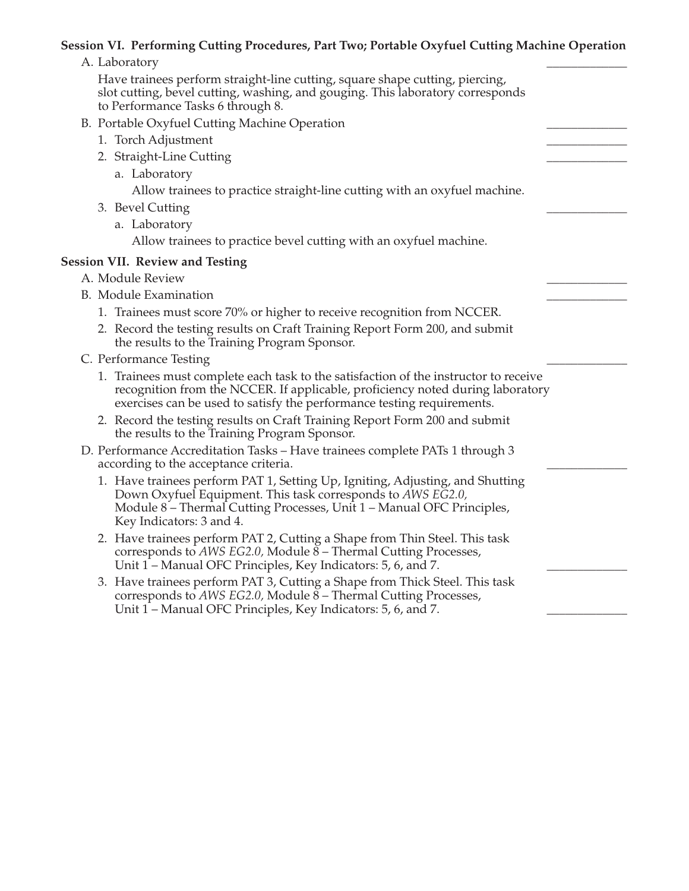#### **Session VI. Performing Cutting Procedures, Part Two; Portable Oxyfuel Cutting Machine Operation**

| A. Laboratory |  |
|---------------|--|
|---------------|--|

Have trainees perform straight-line cutting, square shape cutting, piercing, slot cutting, bevel cutting, washing, and gouging. This laboratory corresponds to Performance Tasks 6 through 8.

#### B. Portable Oxyfuel Cutting Machine Operation

- 1. Torch Adjustment
- 2. Straight-Line Cutting
	- a. Laboratory

Allow trainees to practice straight-line cutting with an oxyfuel machine.

- 3. Bevel Cutting
	- a. Laboratory

Allow trainees to practice bevel cutting with an oxyfuel machine.

#### **Session VII. Review and Testing**

- A. Module Review
- B. Module Examination
	- 1. Trainees must score 70% or higher to receive recognition from NCCER.
	- 2. Record the testing results on Craft Training Report Form 200, and submit the results to the Training Program Sponsor.
- C. Performance Testing

| 1. Trainees must complete each task to the satisfaction of the instructor to receive |
|--------------------------------------------------------------------------------------|
| recognition from the NCCER. If applicable, proficiency noted during laboratory       |
| exercises can be used to satisfy the performance testing requirements.               |

- 2. Record the testing results on Craft Training Report Form 200 and submit the results to the Training Program Sponsor.
- D. Performance Accreditation Tasks Have trainees complete PATs 1 through 3 according to the acceptance criteria.
	- 1. Have trainees perform PAT 1, Setting Up, Igniting, Adjusting, and Shutting Down Oxyfuel Equipment. This task corresponds to *AWS EG2.0,* Module 8 – Thermal Cutting Processes, Unit 1 – Manual OFC Principles, Key Indicators: 3 and 4.
	- 2. Have trainees perform PAT 2, Cutting a Shape from Thin Steel. This task corresponds to *AWS EG2.0,* Module 8 – Thermal Cutting Processes, Unit  $1$  – Manual OFC Principles, Key Indicators: 5, 6, and 7.
	- 3. Have trainees perform PAT 3, Cutting a Shape from Thick Steel. This task corresponds to *AWS EG2.0,* Module 8 – Thermal Cutting Processes, Unit 1 – Manual OFC Principles, Key Indicators: 5, 6, and 7.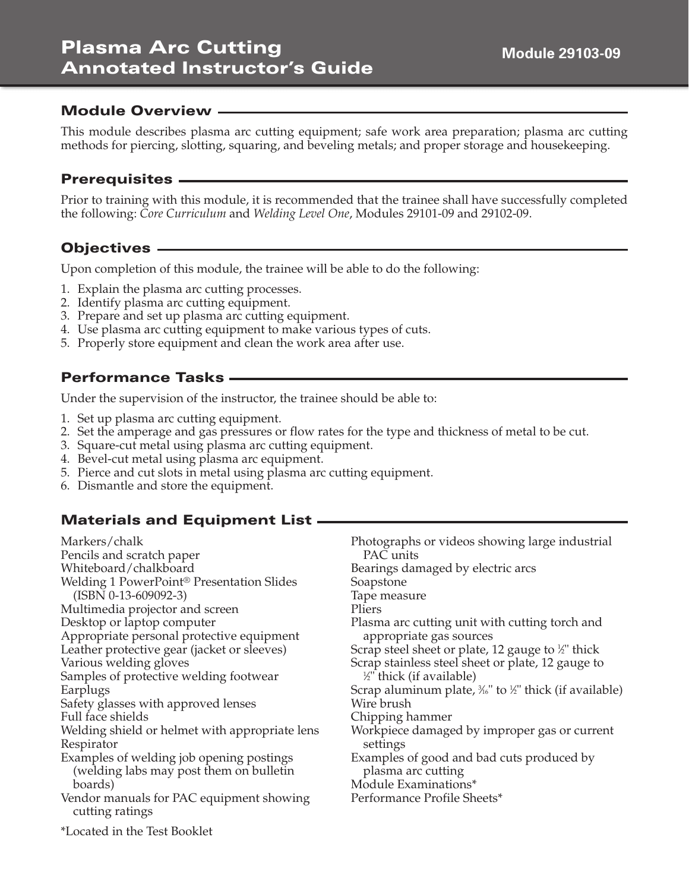# **Plasma Arc Cutting Annotated Instructor's Guide**

## **Module Overview**

This module describes plasma arc cutting equipment; safe work area preparation; plasma arc cutting methods for piercing, slotting, squaring, and beveling metals; and proper storage and housekeeping.

#### **Prerequisites**

Prior to training with this module, it is recommended that the trainee shall have successfully completed the following: *Core Curriculum* and *Welding Level One*, Modules 29101-09 and 29102-09.

## **Objectives**

Upon completion of this module, the trainee will be able to do the following:

- 1. Explain the plasma arc cutting processes.
- 2. Identify plasma arc cutting equipment.
- 3. Prepare and set up plasma arc cutting equipment.
- 4. Use plasma arc cutting equipment to make various types of cuts.
- 5. Properly store equipment and clean the work area after use.

## **Performance Tasks**

Under the supervision of the instructor, the trainee should be able to:

- 1. Set up plasma arc cutting equipment.
- 2. Set the amperage and gas pressures or flow rates for the type and thickness of metal to be cut.
- 3. Square-cut metal using plasma arc cutting equipment.
- 4. Bevel-cut metal using plasma arc equipment.
- 5. Pierce and cut slots in metal using plasma arc cutting equipment.
- 6. Dismantle and store the equipment.

## **Materials and Equipment List**

| Markers/chalk                                                                           | Photographs or videos showing large industrial                   |
|-----------------------------------------------------------------------------------------|------------------------------------------------------------------|
| Pencils and scratch paper                                                               | PAC units                                                        |
| Whiteboard/chalkboard                                                                   | Bearings damaged by electric arcs                                |
| Welding 1 PowerPoint <sup>®</sup> Presentation Slides                                   | Soapstone                                                        |
| $(ISBN 0-13-609092-3)$                                                                  | Tape measure                                                     |
| Multimedia projector and screen                                                         | Pliers                                                           |
| Desktop or laptop computer                                                              | Plasma arc cutting unit with cutting torch and                   |
| Appropriate personal protective equipment                                               | appropriate gas sources                                          |
| Leather protective gear (jacket or sleeves)                                             | Scrap steel sheet or plate, 12 gauge to <sup>1/2</sup> " thick   |
| Various welding gloves                                                                  | Scrap stainless steel sheet or plate, 12 gauge to                |
| Samples of protective welding footwear                                                  | 1/ <sub>2</sub> " thick (if available)                           |
| Earplugs                                                                                | Scrap aluminum plate, $\frac{3}{6}$ " to ½" thick (if available) |
| Safety glasses with approved lenses                                                     | Wire brush                                                       |
| Full face shields                                                                       | Chipping hammer                                                  |
| Welding shield or helmet with appropriate lens                                          | Workpiece damaged by improper gas or current                     |
| Respirator                                                                              | settings                                                         |
| Examples of welding job opening postings                                                | Examples of good and bad cuts produced by                        |
| (welding labs may post them on bulletin                                                 | plasma arc cutting                                               |
| boards)                                                                                 | Module Examinations*                                             |
| Vendor manuals for PAC equipment showing<br>cutting ratings                             | Performance Profile Sheets*                                      |
| $\sqrt{1}$ $\sqrt{1}$ $\sqrt{1}$ $\sqrt{1}$ $\sqrt{1}$ $\sqrt{1}$ $\sqrt{1}$ $\sqrt{1}$ |                                                                  |

\*Located in the Test Booklet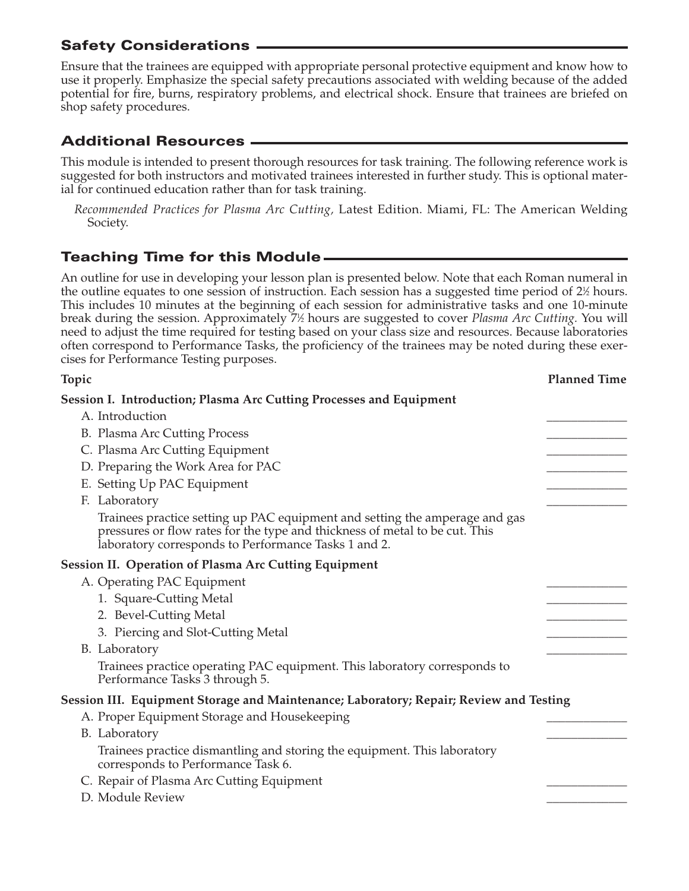Ensure that the trainees are equipped with appropriate personal protective equipment and know how to use it properly. Emphasize the special safety precautions associated with welding because of the added potential for fire, burns, respiratory problems, and electrical shock. Ensure that trainees are briefed on shop safety procedures.

# **Additional Resources**

This module is intended to present thorough resources for task training. The following reference work is suggested for both instructors and motivated trainees interested in further study. This is optional material for continued education rather than for task training.

*Recommended Practices for Plasma Arc Cutting,* Latest Edition. Miami, FL: The American Welding Society.

## **Teaching Time for this Module**

An outline for use in developing your lesson plan is presented below. Note that each Roman numeral in the outline equates to one session of instruction. Each session has a suggested time period of 2½ hours. This includes 10 minutes at the beginning of each session for administrative tasks and one 10-minute break during the session. Approximately 71 ⁄2 hours are suggested to cover *Plasma Arc Cutting.* You will need to adjust the time required for testing based on your class size and resources. Because laboratories often correspond to Performance Tasks, the proficiency of the trainees may be noted during these exercises for Performance Testing purposes.

| Topic                                                                                                                                                                                                              | <b>Planned Time</b> |
|--------------------------------------------------------------------------------------------------------------------------------------------------------------------------------------------------------------------|---------------------|
| Session I. Introduction; Plasma Arc Cutting Processes and Equipment                                                                                                                                                |                     |
| A. Introduction                                                                                                                                                                                                    |                     |
| B. Plasma Arc Cutting Process                                                                                                                                                                                      |                     |
| C. Plasma Arc Cutting Equipment                                                                                                                                                                                    |                     |
| D. Preparing the Work Area for PAC                                                                                                                                                                                 |                     |
| E. Setting Up PAC Equipment                                                                                                                                                                                        |                     |
| F. Laboratory                                                                                                                                                                                                      |                     |
| Trainees practice setting up PAC equipment and setting the amperage and gas<br>pressures or flow rates for the type and thickness of metal to be cut. This<br>laboratory corresponds to Performance Tasks 1 and 2. |                     |
| <b>Session II. Operation of Plasma Arc Cutting Equipment</b>                                                                                                                                                       |                     |
| A. Operating PAC Equipment                                                                                                                                                                                         |                     |
| 1. Square-Cutting Metal                                                                                                                                                                                            |                     |
| 2. Bevel-Cutting Metal                                                                                                                                                                                             |                     |
| 3. Piercing and Slot-Cutting Metal                                                                                                                                                                                 |                     |
| B. Laboratory                                                                                                                                                                                                      |                     |
| Trainees practice operating PAC equipment. This laboratory corresponds to<br>Performance Tasks 3 through 5.                                                                                                        |                     |
| Session III. Equipment Storage and Maintenance; Laboratory; Repair; Review and Testing                                                                                                                             |                     |
| A. Proper Equipment Storage and Housekeeping                                                                                                                                                                       |                     |
| B. Laboratory                                                                                                                                                                                                      |                     |
| Trainees practice dismantling and storing the equipment. This laboratory<br>corresponds to Performance Task 6.                                                                                                     |                     |
| C. Repair of Plasma Arc Cutting Equipment                                                                                                                                                                          |                     |
| D. Module Review                                                                                                                                                                                                   |                     |
|                                                                                                                                                                                                                    |                     |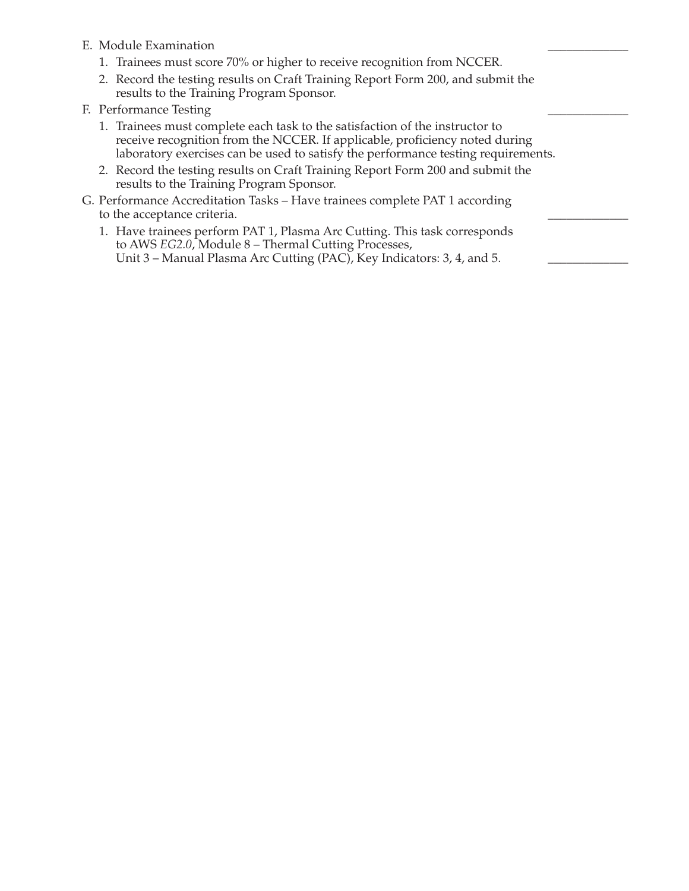- E. Module Examination
	- 1. Trainees must score 70% or higher to receive recognition from NCCER.
	- 2. Record the testing results on Craft Training Report Form 200, and submit the results to the Training Program Sponsor.
- F. Performance Testing
	- 1. Trainees must complete each task to the satisfaction of the instructor to receive recognition from the NCCER. If applicable, proficiency noted during laboratory exercises can be used to satisfy the performance testing requirements.
	- 2. Record the testing results on Craft Training Report Form 200 and submit the results to the Training Program Sponsor.
- G. Performance Accreditation Tasks Have trainees complete PAT 1 according to the acceptance criteria.
	- 1. Have trainees perform PAT 1, Plasma Arc Cutting. This task corresponds to AWS *EG2.0*, Module 8 – Thermal Cutting Processes, Unit 3 – Manual Plasma Arc Cutting (PAC), Key Indicators: 3, 4, and 5.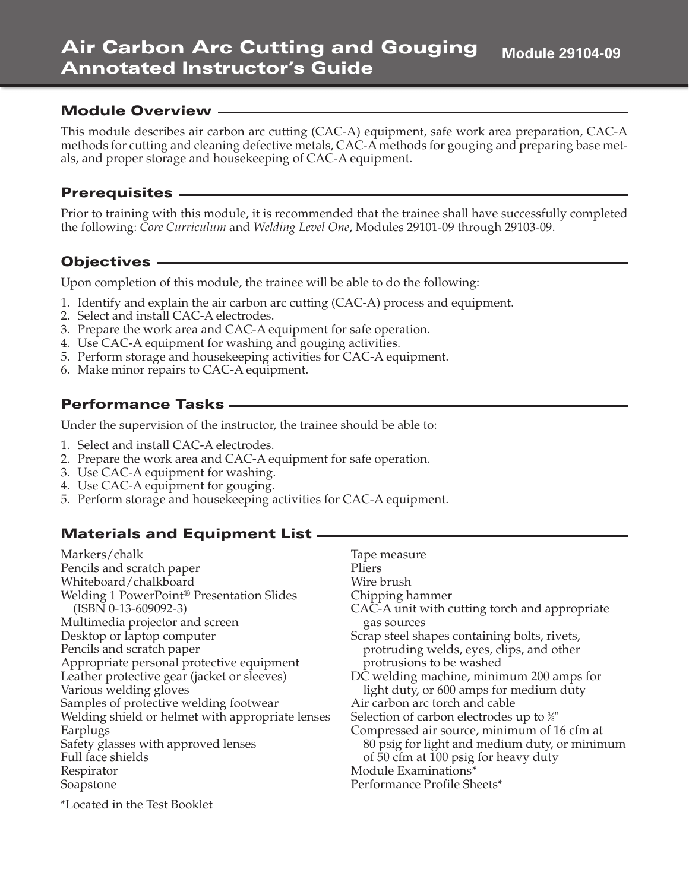#### **Air Carbon Arc Cutting and Gouging Annotated Instructor's Guide Module 29104-09**

#### **Module Overview**

This module describes air carbon arc cutting (CAC-A) equipment, safe work area preparation, CAC-A methods for cutting and cleaning defective metals, CAC-A methods for gouging and preparing base metals, and proper storage and housekeeping of CAC-A equipment.

#### **Prerequisites**

Prior to training with this module, it is recommended that the trainee shall have successfully completed the following: *Core Curriculum* and *Welding Level One*, Modules 29101-09 through 29103-09.

## **Objectives**

Upon completion of this module, the trainee will be able to do the following:

- 1. Identify and explain the air carbon arc cutting (CAC-A) process and equipment.
- 2. Select and install CAC-A electrodes.
- 3. Prepare the work area and CAC-A equipment for safe operation.
- 4. Use CAC-A equipment for washing and gouging activities.
- 5. Perform storage and housekeeping activities for CAC-A equipment.
- 6. Make minor repairs to CAC-A equipment.

## **Performance Tasks**

Under the supervision of the instructor, the trainee should be able to:

- 1. Select and install CAC-A electrodes.
- 2. Prepare the work area and CAC-A equipment for safe operation.
- 3. Use CAC-A equipment for washing.
- 4. Use CAC-A equipment for gouging.
- 5. Perform storage and housekeeping activities for CAC-A equipment.

# **Materials and Equipment List**

Markers/chalk Pencils and scratch paper Whiteboard/chalkboard Welding 1 PowerPoint® Presentation Slides (ISBN 0-13-609092-3) Multimedia projector and screen Desktop or laptop computer Pencils and scratch paper Appropriate personal protective equipment Leather protective gear (jacket or sleeves) Various welding gloves Samples of protective welding footwear Welding shield or helmet with appropriate lenses Earplugs Safety glasses with approved lenses Full face shields Respirator Soapstone

Tape measure Pliers Wire brush Chipping hammer CAC-A unit with cutting torch and appropriate gas sources Scrap steel shapes containing bolts, rivets, protruding welds, eyes, clips, and other protrusions to be washed DC welding machine, minimum 200 amps for light duty, or 600 amps for medium duty Air carbon arc torch and cable Selection of carbon electrodes up to  $\%$ " Compressed air source, minimum of 16 cfm at 80 psig for light and medium duty, or minimum of 50 cfm at 100 psig for heavy duty Module Examinations\* Performance Profile Sheets\*

\*Located in the Test Booklet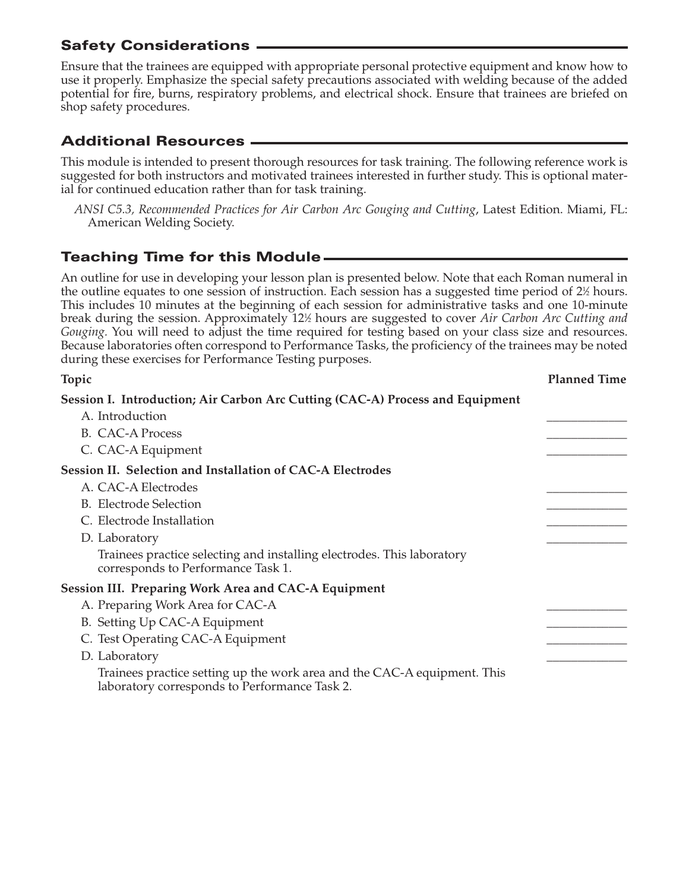Ensure that the trainees are equipped with appropriate personal protective equipment and know how to use it properly. Emphasize the special safety precautions associated with welding because of the added potential for fire, burns, respiratory problems, and electrical shock. Ensure that trainees are briefed on shop safety procedures.

# **Additional Resources**

This module is intended to present thorough resources for task training. The following reference work is suggested for both instructors and motivated trainees interested in further study. This is optional material for continued education rather than for task training.

*ANSI C5.3, Recommended Practices for Air Carbon Arc Gouging and Cutting*, Latest Edition. Miami, FL: American Welding Society.

# **Teaching Time for this Module**

An outline for use in developing your lesson plan is presented below. Note that each Roman numeral in the outline equates to one session of instruction. Each session has a suggested time period of 2½ hours. This includes 10 minutes at the beginning of each session for administrative tasks and one 10-minute break during the session. Approximately 121 ⁄2 hours are suggested to cover *Air Carbon Arc Cutting and Gouging*. You will need to adjust the time required for testing based on your class size and resources. Because laboratories often correspond to Performance Tasks, the proficiency of the trainees may be noted during these exercises for Performance Testing purposes.

| Topic                                                                                                                     | <b>Planned Time</b> |
|---------------------------------------------------------------------------------------------------------------------------|---------------------|
| Session I. Introduction; Air Carbon Arc Cutting (CAC-A) Process and Equipment                                             |                     |
| A. Introduction                                                                                                           |                     |
| <b>B.</b> CAC-A Process                                                                                                   |                     |
| C. CAC-A Equipment                                                                                                        |                     |
| <b>Session II. Selection and Installation of CAC-A Electrodes</b>                                                         |                     |
| A. CAC-A Electrodes                                                                                                       |                     |
| <b>B.</b> Electrode Selection                                                                                             |                     |
| C. Electrode Installation                                                                                                 |                     |
| D. Laboratory                                                                                                             |                     |
| Trainees practice selecting and installing electrodes. This laboratory<br>corresponds to Performance Task 1.              |                     |
| <b>Session III. Preparing Work Area and CAC-A Equipment</b>                                                               |                     |
| A. Preparing Work Area for CAC-A                                                                                          |                     |
| B. Setting Up CAC-A Equipment                                                                                             |                     |
| C. Test Operating CAC-A Equipment                                                                                         |                     |
| D. Laboratory                                                                                                             |                     |
| Trainees practice setting up the work area and the CAC-A equipment. This<br>laboratory corresponds to Performance Task 2. |                     |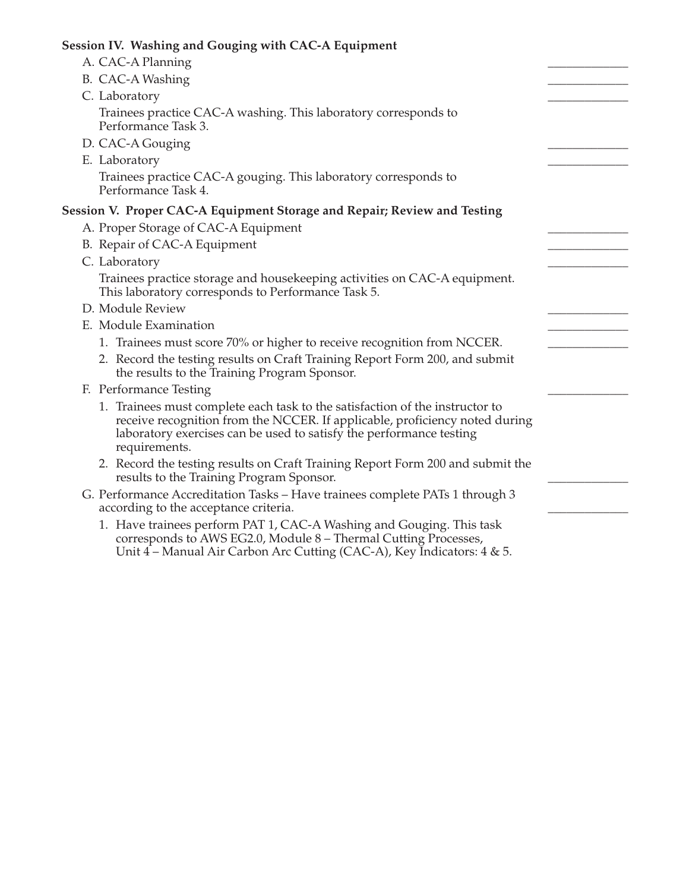| Session IV. Washing and Gouging with CAC-A Equipment                                                                                                                                                                                                |  |
|-----------------------------------------------------------------------------------------------------------------------------------------------------------------------------------------------------------------------------------------------------|--|
| A. CAC-A Planning                                                                                                                                                                                                                                   |  |
| B. CAC-A Washing                                                                                                                                                                                                                                    |  |
| C. Laboratory                                                                                                                                                                                                                                       |  |
| Trainees practice CAC-A washing. This laboratory corresponds to<br>Performance Task 3.                                                                                                                                                              |  |
| D. CAC-A Gouging                                                                                                                                                                                                                                    |  |
| E. Laboratory                                                                                                                                                                                                                                       |  |
| Trainees practice CAC-A gouging. This laboratory corresponds to<br>Performance Task 4.                                                                                                                                                              |  |
| Session V. Proper CAC-A Equipment Storage and Repair; Review and Testing                                                                                                                                                                            |  |
| A. Proper Storage of CAC-A Equipment                                                                                                                                                                                                                |  |
| B. Repair of CAC-A Equipment                                                                                                                                                                                                                        |  |
| C. Laboratory                                                                                                                                                                                                                                       |  |
| Trainees practice storage and housekeeping activities on CAC-A equipment.<br>This laboratory corresponds to Performance Task 5.                                                                                                                     |  |
| D. Module Review                                                                                                                                                                                                                                    |  |
| E. Module Examination                                                                                                                                                                                                                               |  |
| 1. Trainees must score 70% or higher to receive recognition from NCCER.                                                                                                                                                                             |  |
| 2. Record the testing results on Craft Training Report Form 200, and submit<br>the results to the Training Program Sponsor.                                                                                                                         |  |
| F. Performance Testing                                                                                                                                                                                                                              |  |
| 1. Trainees must complete each task to the satisfaction of the instructor to<br>receive recognition from the NCCER. If applicable, proficiency noted during<br>laboratory exercises can be used to satisfy the performance testing<br>requirements. |  |
| 2. Record the testing results on Craft Training Report Form 200 and submit the<br>results to the Training Program Sponsor.                                                                                                                          |  |
| G. Performance Accreditation Tasks - Have trainees complete PATs 1 through 3<br>according to the acceptance criteria.                                                                                                                               |  |
| 1. Have trainees perform PAT 1, CAC-A Washing and Gouging. This task<br>corresponds to AWS EG2.0, Module 8 - Thermal Cutting Processes,                                                                                                             |  |

Unit 4 – Manual Air Carbon Arc Cutting (CAC-A), Key Indicators: 4 & 5.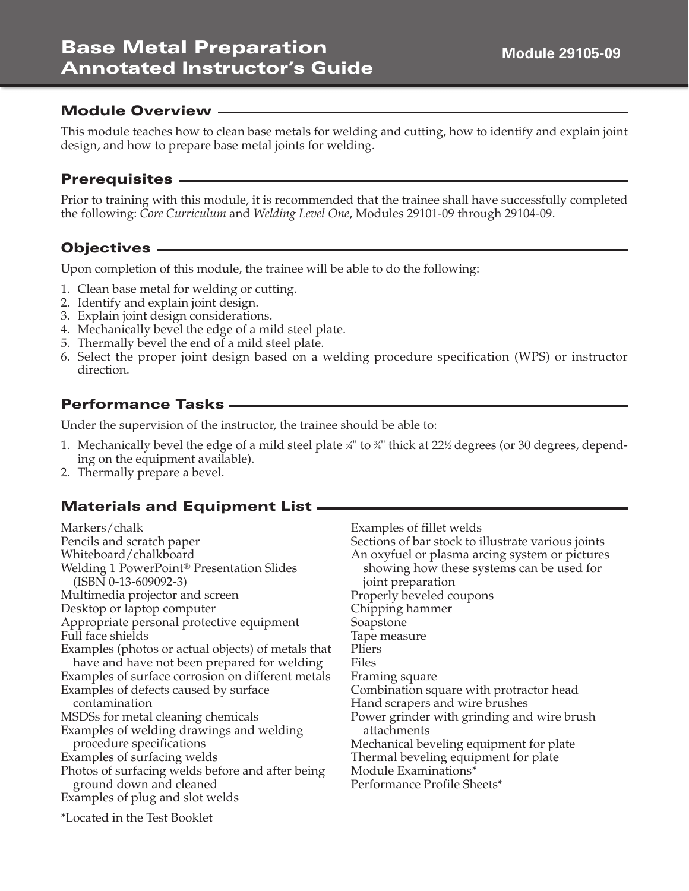This module teaches how to clean base metals for welding and cutting, how to identify and explain joint design, and how to prepare base metal joints for welding.

## **Prerequisites**

Prior to training with this module, it is recommended that the trainee shall have successfully completed the following: *Core Curriculum* and *Welding Level One*, Modules 29101-09 through 29104-09.

# **Objectives**

Upon completion of this module, the trainee will be able to do the following:

- 1. Clean base metal for welding or cutting.
- 2. Identify and explain joint design.
- 3. Explain joint design considerations.
- 4. Mechanically bevel the edge of a mild steel plate.
- 5. Thermally bevel the end of a mild steel plate.
- 6. Select the proper joint design based on a welding procedure specification (WPS) or instructor direction.

## **Performance Tasks**

Under the supervision of the instructor, the trainee should be able to:

- 1. Mechanically bevel the edge of a mild steel plate ¼" to ¾" thick at 22½ degrees (or 30 degrees*,* depending on the equipment available).
- 2. Thermally prepare a bevel.

# **Materials and Equipment List**

| Markers/chalk                                                                                                                                                                                                         | Examples of fillet welds                                                                                                                              |
|-----------------------------------------------------------------------------------------------------------------------------------------------------------------------------------------------------------------------|-------------------------------------------------------------------------------------------------------------------------------------------------------|
| Pencils and scratch paper                                                                                                                                                                                             | Sections of bar stock to illustrate various joints                                                                                                    |
| Whiteboard/chalkboard                                                                                                                                                                                                 | An oxyfuel or plasma arcing system or pictures                                                                                                        |
| Welding 1 PowerPoint <sup>®</sup> Presentation Slides                                                                                                                                                                 | showing how these systems can be used for                                                                                                             |
| $(ISBN 0-13-609092-3)$                                                                                                                                                                                                | joint preparation                                                                                                                                     |
| Multimedia projector and screen                                                                                                                                                                                       | Properly beveled coupons                                                                                                                              |
| Desktop or laptop computer                                                                                                                                                                                            | Chipping hammer                                                                                                                                       |
| Appropriate personal protective equipment                                                                                                                                                                             | Soapstone                                                                                                                                             |
| Full face shields                                                                                                                                                                                                     | Tape measure                                                                                                                                          |
| Examples (photos or actual objects) of metals that                                                                                                                                                                    | Pliers                                                                                                                                                |
| have and have not been prepared for welding                                                                                                                                                                           | Files                                                                                                                                                 |
| Examples of surface corrosion on different metals                                                                                                                                                                     | Framing square                                                                                                                                        |
| Examples of defects caused by surface                                                                                                                                                                                 | Combination square with protractor head                                                                                                               |
| contamination                                                                                                                                                                                                         | Hand scrapers and wire brushes                                                                                                                        |
| MSDSs for metal cleaning chemicals                                                                                                                                                                                    | Power grinder with grinding and wire brush                                                                                                            |
| Examples of welding drawings and welding<br>procedure specifications<br>Examples of surfacing welds<br>Photos of surfacing welds before and after being<br>ground down and cleaned<br>Examples of plug and slot welds | attachments<br>Mechanical beveling equipment for plate<br>Thermal beveling equipment for plate<br>Module Examinations*<br>Performance Profile Sheets* |
| *Located in the Test Booklet                                                                                                                                                                                          |                                                                                                                                                       |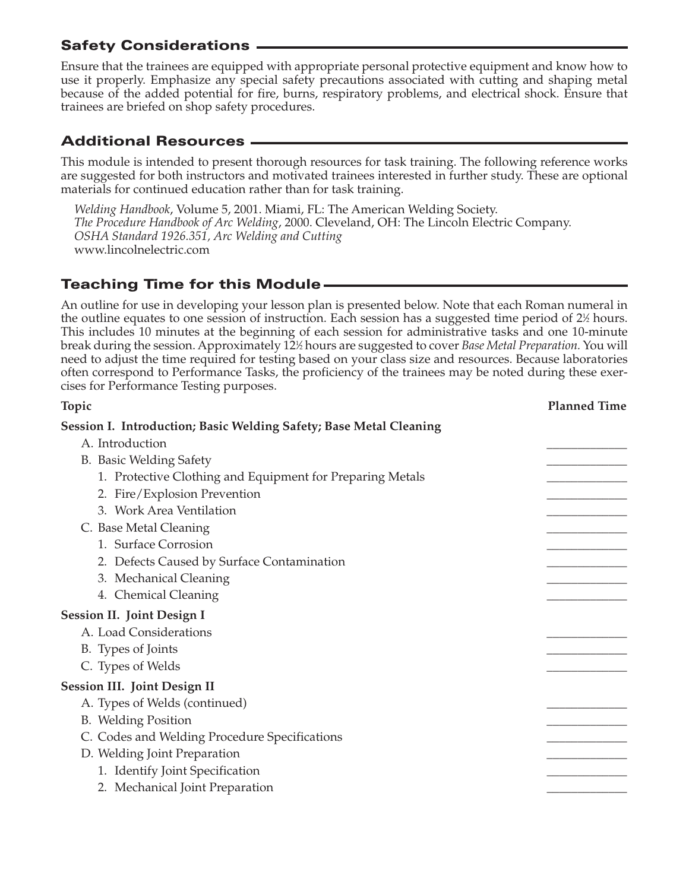Ensure that the trainees are equipped with appropriate personal protective equipment and know how to use it properly. Emphasize any special safety precautions associated with cutting and shaping metal because of the added potential for fire, burns, respiratory problems, and electrical shock. Ensure that trainees are briefed on shop safety procedures.

# **Additional Resources**

This module is intended to present thorough resources for task training. The following reference works are suggested for both instructors and motivated trainees interested in further study. These are optional materials for continued education rather than for task training.

*Welding Handbook*, Volume 5, 2001. Miami, FL: The American Welding Society. *The Procedure Handbook of Arc Welding*, 2000. Cleveland, OH: The Lincoln Electric Company. *OSHA Standard 1926.351, Arc Welding and Cutting* www.lincolnelectric.com

# **Teaching Time for this Module**

An outline for use in developing your lesson plan is presented below. Note that each Roman numeral in the outline equates to one session of instruction. Each session has a suggested time period of 2½ hours. This includes 10 minutes at the beginning of each session for administrative tasks and one 10-minute break during the session. Approximately 12½ hours are suggested to cover *Base Metal Preparation.* You will need to adjust the time required for testing based on your class size and resources. Because laboratories often correspond to Performance Tasks, the proficiency of the trainees may be noted during these exercises for Performance Testing purposes.

| Topic                                                              | <b>Planned Time</b> |
|--------------------------------------------------------------------|---------------------|
| Session I. Introduction; Basic Welding Safety; Base Metal Cleaning |                     |
| A. Introduction                                                    |                     |
| B. Basic Welding Safety                                            |                     |
| 1. Protective Clothing and Equipment for Preparing Metals          |                     |
| 2. Fire/Explosion Prevention                                       |                     |
| 3. Work Area Ventilation                                           |                     |
| C. Base Metal Cleaning                                             |                     |
| 1. Surface Corrosion                                               |                     |
| 2. Defects Caused by Surface Contamination                         |                     |
| 3. Mechanical Cleaning                                             |                     |
| 4. Chemical Cleaning                                               |                     |
| <b>Session II. Joint Design I</b>                                  |                     |
| A. Load Considerations                                             |                     |
| B. Types of Joints                                                 |                     |
| C. Types of Welds                                                  |                     |
| <b>Session III. Joint Design II</b>                                |                     |
| A. Types of Welds (continued)                                      |                     |
| <b>B.</b> Welding Position                                         |                     |
| C. Codes and Welding Procedure Specifications                      |                     |
| D. Welding Joint Preparation                                       |                     |
| 1. Identify Joint Specification                                    |                     |
| 2. Mechanical Joint Preparation                                    |                     |
|                                                                    |                     |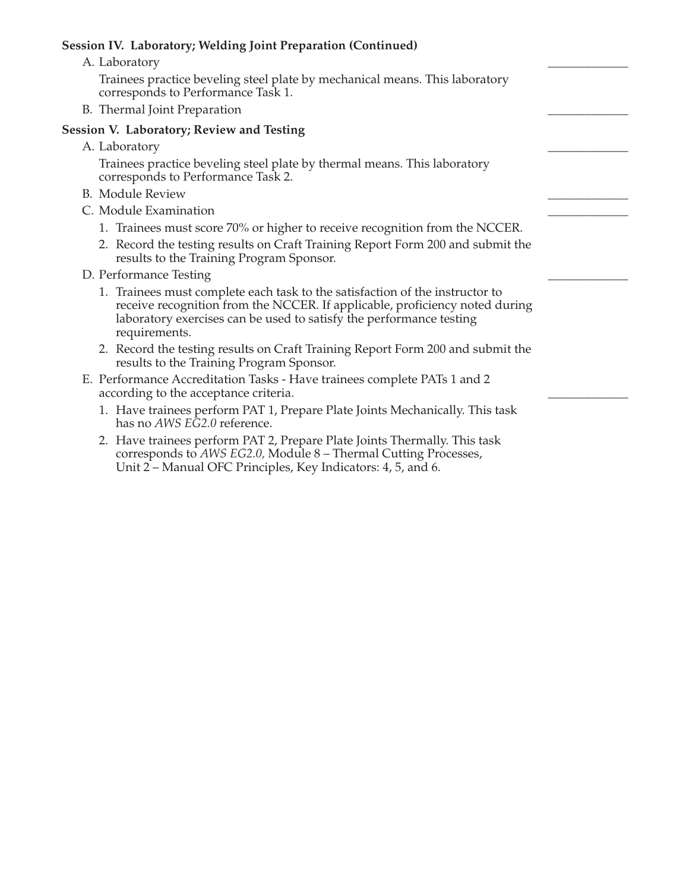#### **Session IV. Laboratory; Welding Joint Preparation (Continued)**

A. Laboratory

Trainees practice beveling steel plate by mechanical means. This laboratory corresponds to Performance Task 1.

B. Thermal Joint Preparation

#### **Session V. Laboratory; Review and Testing**

A. Laboratory

Trainees practice beveling steel plate by thermal means. This laboratory corresponds to Performance Task 2.

- B. Module Review
- C. Module Examination
	- 1. Trainees must score 70% or higher to receive recognition from the NCCER.
	- 2. Record the testing results on Craft Training Report Form 200 and submit the results to the Training Program Sponsor.
- D. Performance Testing
	- 1. Trainees must complete each task to the satisfaction of the instructor to receive recognition from the NCCER. If applicable, proficiency noted during laboratory exercises can be used to satisfy the performance testing requirements.
	- 2. Record the testing results on Craft Training Report Form 200 and submit the results to the Training Program Sponsor.
- E. Performance Accreditation Tasks Have trainees complete PATs 1 and 2 according to the acceptance criteria.
	- 1. Have trainees perform PAT 1, Prepare Plate Joints Mechanically. This task has no *AWS EG2.0* reference.
	- 2. Have trainees perform PAT 2, Prepare Plate Joints Thermally. This task corresponds to *AWS EG2.0,* Module 8 – Thermal Cutting Processes, Unit 2 – Manual OFC Principles, Key Indicators: 4, 5, and 6.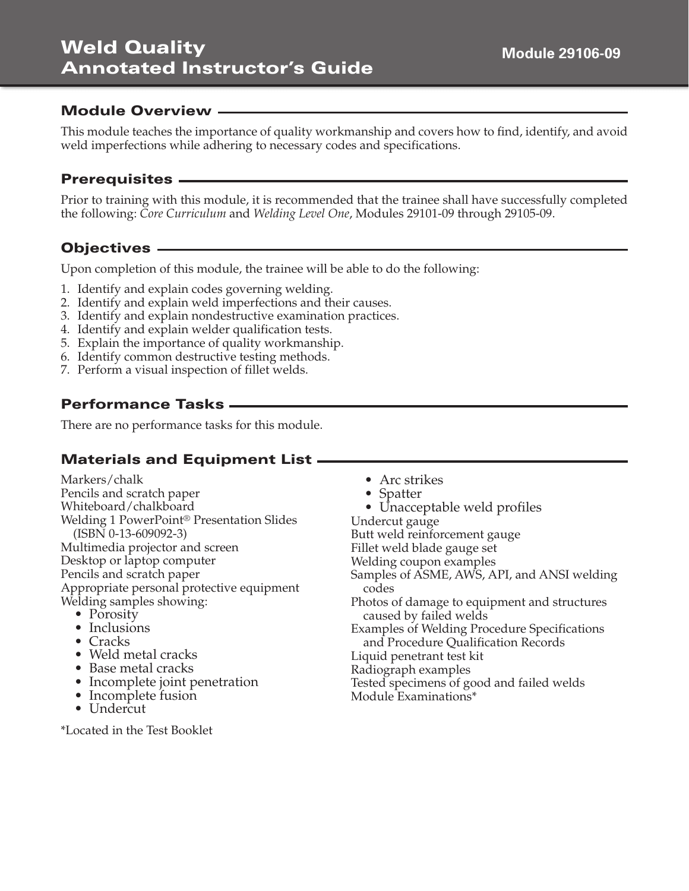This module teaches the importance of quality workmanship and covers how to find, identify, and avoid weld imperfections while adhering to necessary codes and specifications.

#### **Prerequisites**

Prior to training with this module, it is recommended that the trainee shall have successfully completed the following: *Core Curriculum* and *Welding Level One*, Modules 29101-09 through 29105-09.

## **Objectives**

Upon completion of this module, the trainee will be able to do the following:

- 1. Identify and explain codes governing welding.
- 2. Identify and explain weld imperfections and their causes.
- 3. Identify and explain nondestructive examination practices.
- 4. Identify and explain welder qualification tests.
- 5. Explain the importance of quality workmanship.
- 6. Identify common destructive testing methods.
- 7. Perform a visual inspection of fillet welds.

## **Performance Tasks**

There are no performance tasks for this module.

# **Materials and Equipment List**

Markers/chalk Pencils and scratch paper Whiteboard/chalkboard Welding 1 PowerPoint® Presentation Slides (ISBN 0-13-609092-3) Multimedia projector and screen Desktop or laptop computer Pencils and scratch paper Appropriate personal protective equipment Welding samples showing:

- Porosity
- Inclusions
- Cracks
- Weld metal cracks
- Base metal cracks
- Incomplete joint penetration
- Incomplete fusion
- Undercut

\*Located in the Test Booklet

- Arc strikes
- Spatter
- Unacceptable weld profiles
- Undercut gauge

Butt weld reinforcement gauge

- Fillet weld blade gauge set
- Welding coupon examples

Samples of ASME, AWS, API, and ANSI welding codes

- Photos of damage to equipment and structures caused by failed welds
- Examples of Welding Procedure Specifications and Procedure Qualification Records
- Liquid penetrant test kit
- Radiograph examples
- Tested specimens of good and failed welds
- Module Examinations\*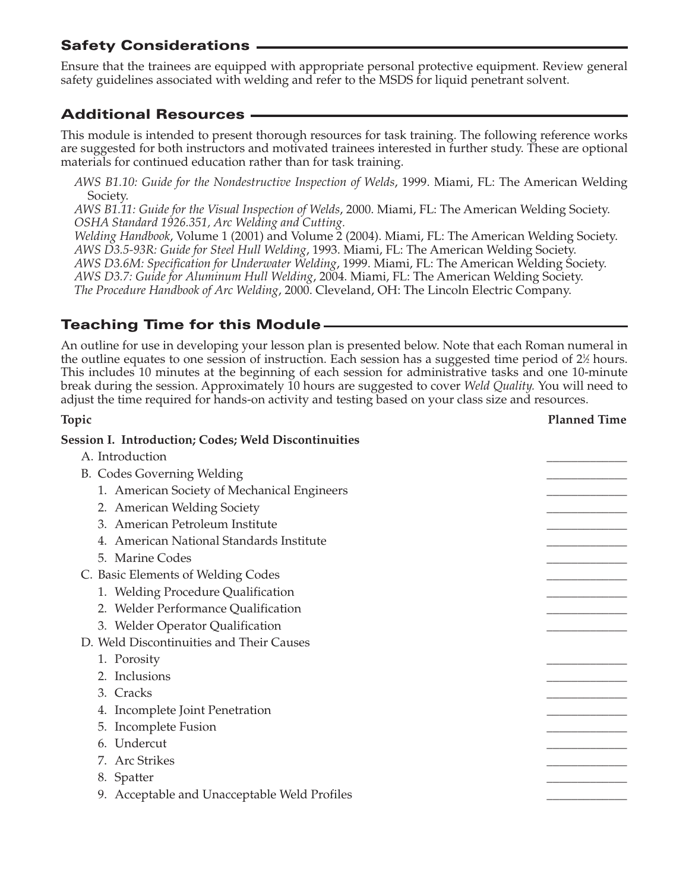Ensure that the trainees are equipped with appropriate personal protective equipment. Review general safety guidelines associated with welding and refer to the MSDS for liquid penetrant solvent.

# **Additional Resources**

This module is intended to present thorough resources for task training. The following reference works are suggested for both instructors and motivated trainees interested in further study. These are optional materials for continued education rather than for task training.

*AWS B1.10: Guide for the Nondestructive Inspection of Welds*, 1999. Miami, FL: The American Welding Society.

*AWS B1.11: Guide for the Visual Inspection of Welds*, 2000. Miami, FL: The American Welding Society. *OSHA Standard 1926.351, Arc Welding and Cutting.*

*Welding Handbook*, Volume 1 (2001) and Volume 2 (2004). Miami, FL: The American Welding Society. *AWS D3.5-93R: Guide for Steel Hull Welding*, 1993. Miami, FL: The American Welding Society. *AWS D3.6M: Specification for Underwater Welding*, 1999. Miami, FL: The American Welding Society. *AWS D3.7: Guide for Aluminum Hull Welding*, 2004. Miami, FL: The American Welding Society. *The Procedure Handbook of Arc Welding*, 2000. Cleveland, OH: The Lincoln Electric Company.

## **Teaching Time for this Module**

An outline for use in developing your lesson plan is presented below. Note that each Roman numeral in the outline equates to one session of instruction. Each session has a suggested time period of 2½ hours. This includes 10 minutes at the beginning of each session for administrative tasks and one 10-minute break during the session. Approximately 10 hours are suggested to cover *Weld Quality.* You will need to adjust the time required for hands-on activity and testing based on your class size and resources.

| Topic                                                       | <b>Planned Time</b> |
|-------------------------------------------------------------|---------------------|
| <b>Session I. Introduction; Codes; Weld Discontinuities</b> |                     |
| A. Introduction                                             |                     |
| <b>B.</b> Codes Governing Welding                           |                     |
| 1. American Society of Mechanical Engineers                 |                     |
| 2. American Welding Society                                 |                     |
| 3. American Petroleum Institute                             |                     |
| 4. American National Standards Institute                    |                     |
| 5. Marine Codes                                             |                     |
| C. Basic Elements of Welding Codes                          |                     |
| 1. Welding Procedure Qualification                          |                     |
| 2. Welder Performance Qualification                         |                     |
| 3. Welder Operator Qualification                            |                     |
| D. Weld Discontinuities and Their Causes                    |                     |
| 1. Porosity                                                 |                     |
| 2. Inclusions                                               |                     |
| 3. Cracks                                                   |                     |
| 4. Incomplete Joint Penetration                             |                     |
| 5. Incomplete Fusion                                        |                     |
| 6. Undercut                                                 |                     |
| 7. Arc Strikes                                              |                     |
| 8. Spatter                                                  |                     |
| 9. Acceptable and Unacceptable Weld Profiles                |                     |
|                                                             |                     |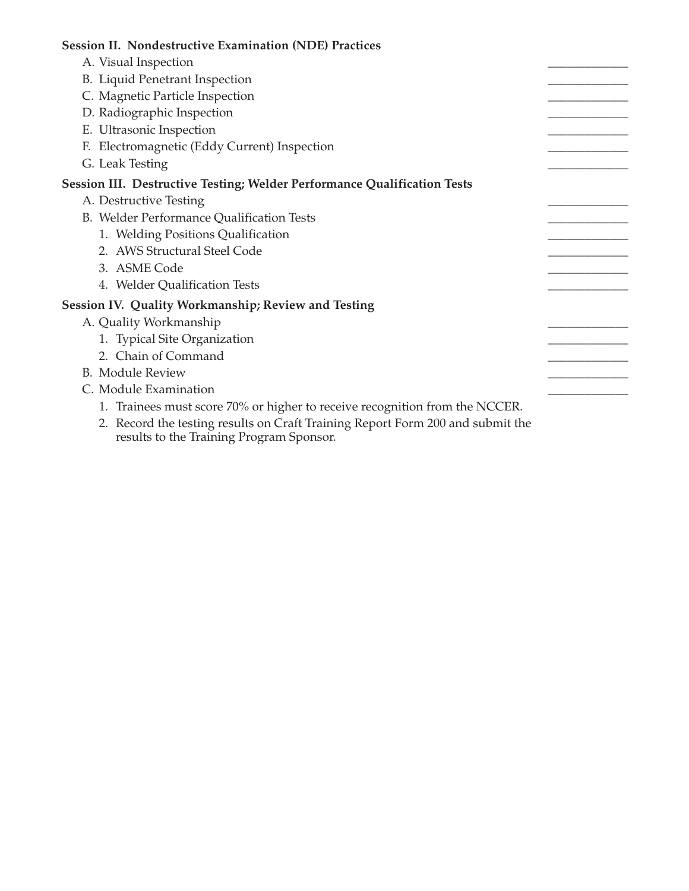| <b>Session II. Nondestructive Examination (NDE) Practices</b>                  |  |
|--------------------------------------------------------------------------------|--|
| A. Visual Inspection                                                           |  |
| B. Liquid Penetrant Inspection                                                 |  |
| C. Magnetic Particle Inspection                                                |  |
| D. Radiographic Inspection                                                     |  |
| E. Ultrasonic Inspection                                                       |  |
| F. Electromagnetic (Eddy Current) Inspection                                   |  |
| G. Leak Testing                                                                |  |
| Session III. Destructive Testing; Welder Performance Qualification Tests       |  |
| A. Destructive Testing                                                         |  |
| B. Welder Performance Qualification Tests                                      |  |
| 1. Welding Positions Qualification                                             |  |
| 2. AWS Structural Steel Code                                                   |  |
| 3. ASME Code                                                                   |  |
| 4. Welder Qualification Tests                                                  |  |
| <b>Session IV. Quality Workmanship; Review and Testing</b>                     |  |
| A. Quality Workmanship                                                         |  |
| 1. Typical Site Organization                                                   |  |
| 2. Chain of Command                                                            |  |
| <b>B.</b> Module Review                                                        |  |
| C. Module Examination                                                          |  |
| 1. Trainees must score 70% or higher to receive recognition from the NCCER.    |  |
| 2. Record the testing results on Craft Training Report Form 200 and submit the |  |

2. Record the testing results on Craft Training Report Form 200 and submit the results to the Training Program Sponsor.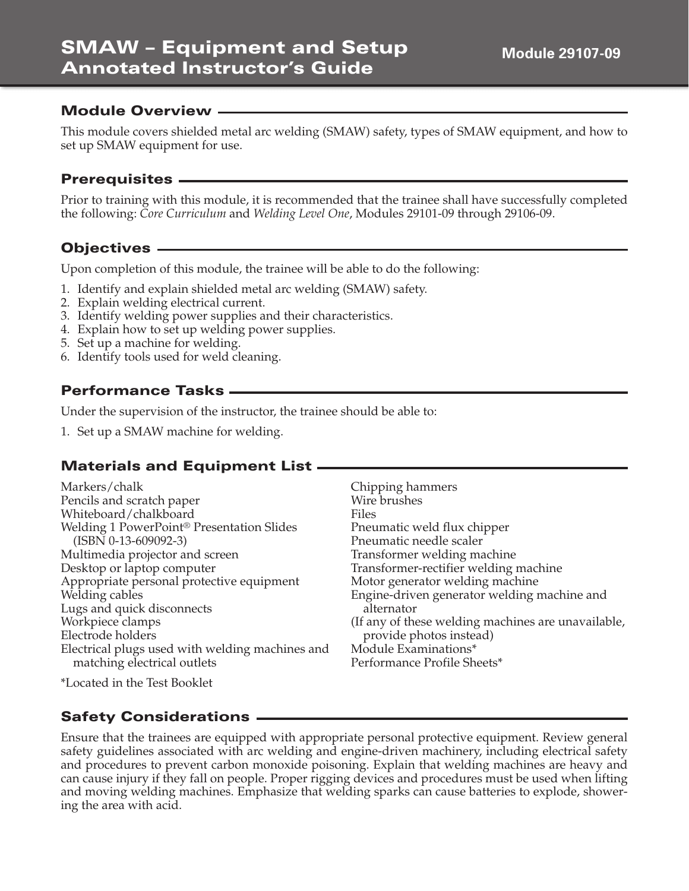This module covers shielded metal arc welding (SMAW) safety, types of SMAW equipment, and how to set up SMAW equipment for use.

#### **Prerequisites**

Prior to training with this module, it is recommended that the trainee shall have successfully completed the following: *Core Curriculum* and *Welding Level One*, Modules 29101-09 through 29106-09.

## **Objectives**

Upon completion of this module, the trainee will be able to do the following:

- 1. Identify and explain shielded metal arc welding (SMAW) safety.
- 2. Explain welding electrical current.
- 3. Identify welding power supplies and their characteristics.
- 4. Explain how to set up welding power supplies.
- 5. Set up a machine for welding.
- 6. Identify tools used for weld cleaning.

## **Performance Tasks**

Under the supervision of the instructor, the trainee should be able to:

1. Set up a SMAW machine for welding.

## **Materials and Equipment List**

| Markers/chalk                                         | Chipping hammers                                   |
|-------------------------------------------------------|----------------------------------------------------|
| Pencils and scratch paper                             | Wire brushes                                       |
| Whiteboard/chalkboard                                 | Files                                              |
| Welding 1 PowerPoint <sup>®</sup> Presentation Slides | Pneumatic weld flux chipper                        |
| $(ISBN 0-13-609092-3)$                                | Pneumatic needle scaler                            |
| Multimedia projector and screen                       | Transformer welding machine                        |
| Desktop or laptop computer                            | Transformer-rectifier welding machine              |
| Appropriate personal protective equipment             | Motor generator welding machine                    |
| Welding cables                                        | Engine-driven generator welding machine and        |
| Lugs and quick disconnects                            | alternator                                         |
| Workpiece clamps                                      | (If any of these welding machines are unavailable, |
| Electrode holders                                     | provide photos instead)                            |
| Electrical plugs used with welding machines and       | Module Examinations*                               |
| matching electrical outlets                           | Performance Profile Sheets*                        |
| *Located in the Test Booklet                          |                                                    |

## **Safety Considerations**

Ensure that the trainees are equipped with appropriate personal protective equipment. Review general safety guidelines associated with arc welding and engine-driven machinery, including electrical safety and procedures to prevent carbon monoxide poisoning. Explain that welding machines are heavy and can cause injury if they fall on people. Proper rigging devices and procedures must be used when lifting and moving welding machines. Emphasize that welding sparks can cause batteries to explode, showering the area with acid.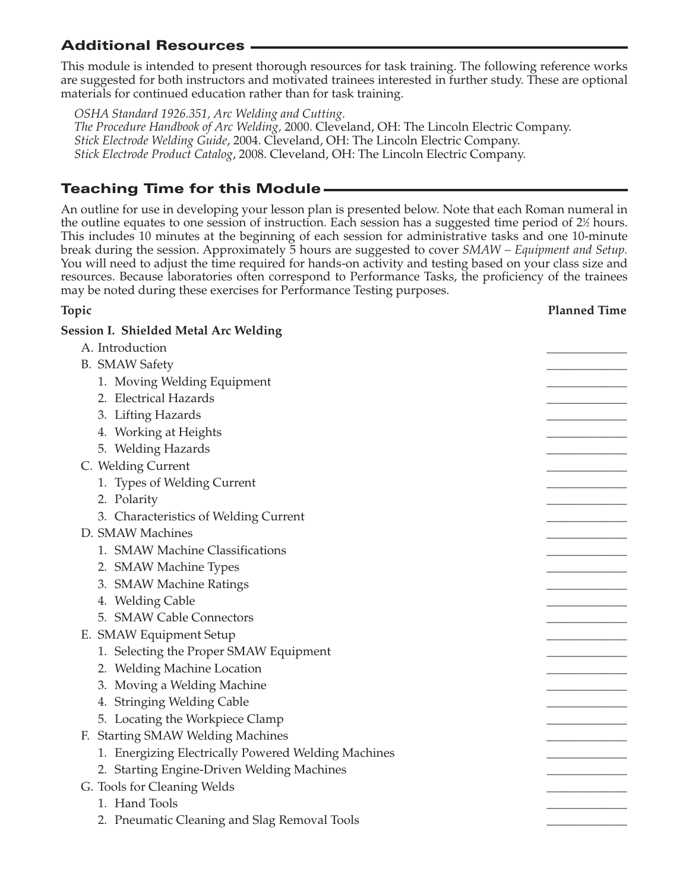# **Additional Resources**

This module is intended to present thorough resources for task training. The following reference works are suggested for both instructors and motivated trainees interested in further study. These are optional materials for continued education rather than for task training.

*OSHA Standard 1926.351, Arc Welding and Cutting. The Procedure Handbook of Arc Welding,* 2000. Cleveland, OH: The Lincoln Electric Company. *Stick Electrode Welding Guide*, 2004. Cleveland, OH: The Lincoln Electric Company. *Stick Electrode Product Catalog*, 2008. Cleveland, OH: The Lincoln Electric Company.

# **Teaching Time for this Module**

An outline for use in developing your lesson plan is presented below. Note that each Roman numeral in the outline equates to one session of instruction. Each session has a suggested time period of 2½ hours. This includes 10 minutes at the beginning of each session for administrative tasks and one 10-minute break during the session. Approximately 5 hours are suggested to cover *SMAW – Equipment and Setup.* You will need to adjust the time required for hands-on activity and testing based on your class size and resources. Because laboratories often correspond to Performance Tasks, the proficiency of the trainees may be noted during these exercises for Performance Testing purposes.

#### **Topic Planned Time**

| <b>Session I. Shielded Metal Arc Welding</b>        |  |
|-----------------------------------------------------|--|
| A. Introduction                                     |  |
| <b>B.</b> SMAW Safety                               |  |
| 1. Moving Welding Equipment                         |  |
| 2. Electrical Hazards                               |  |
| 3. Lifting Hazards                                  |  |
| 4. Working at Heights                               |  |
| 5. Welding Hazards                                  |  |
| C. Welding Current                                  |  |
| 1. Types of Welding Current                         |  |
| 2. Polarity                                         |  |
| 3. Characteristics of Welding Current               |  |
| D. SMAW Machines                                    |  |
| 1. SMAW Machine Classifications                     |  |
| 2. SMAW Machine Types                               |  |
| 3. SMAW Machine Ratings                             |  |
| 4. Welding Cable                                    |  |
| 5. SMAW Cable Connectors                            |  |
| E. SMAW Equipment Setup                             |  |
| 1. Selecting the Proper SMAW Equipment              |  |
| 2. Welding Machine Location                         |  |
| 3. Moving a Welding Machine                         |  |
| 4. Stringing Welding Cable                          |  |
| 5. Locating the Workpiece Clamp                     |  |
| F. Starting SMAW Welding Machines                   |  |
| 1. Energizing Electrically Powered Welding Machines |  |
| 2. Starting Engine-Driven Welding Machines          |  |
| G. Tools for Cleaning Welds                         |  |
| 1. Hand Tools                                       |  |
| 2. Pneumatic Cleaning and Slag Removal Tools        |  |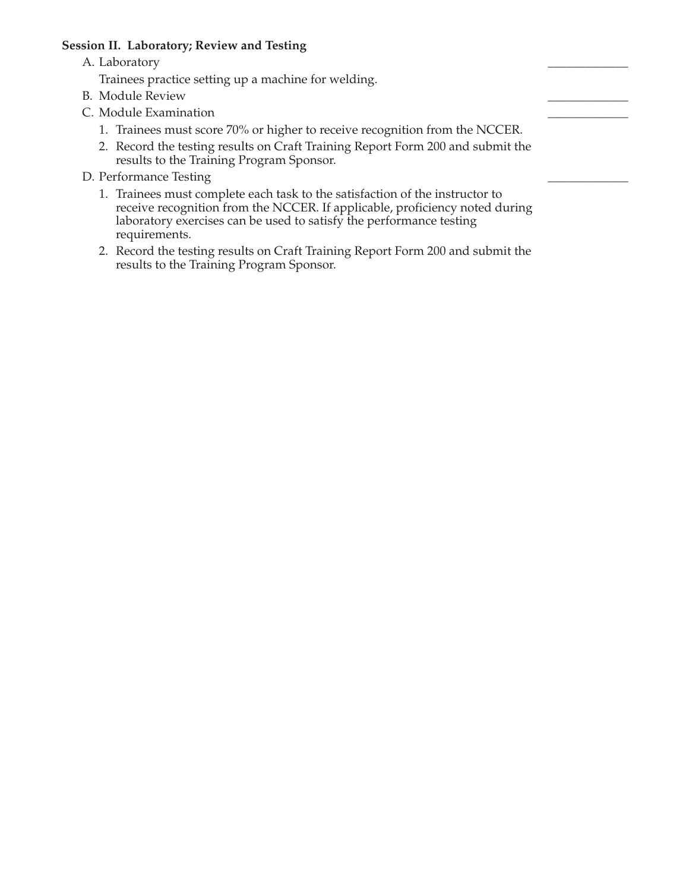#### **Session II. Laboratory; Review and Testing**

A. Laboratory

Trainees practice setting up a machine for welding.

- B. Module Review
- C. Module Examination
	- 1. Trainees must score 70% or higher to receive recognition from the NCCER.
	- 2. Record the testing results on Craft Training Report Form 200 and submit the results to the Training Program Sponsor.
- D. Performance Testing
	- 1. Trainees must complete each task to the satisfaction of the instructor to receive recognition from the NCCER. If applicable, proficiency noted during laboratory exercises can be used to satisfy the performance testing requirements.
	- 2. Record the testing results on Craft Training Report Form 200 and submit the results to the Training Program Sponsor.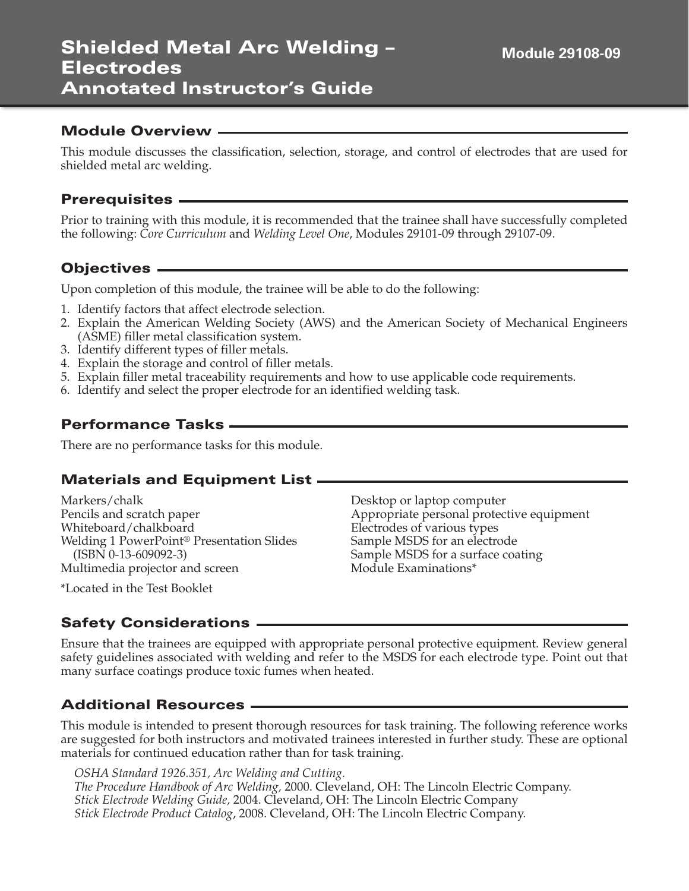This module discusses the classification, selection, storage, and control of electrodes that are used for shielded metal arc welding.

#### **Prerequisites**

Prior to training with this module, it is recommended that the trainee shall have successfully completed the following: *Core Curriculum* and *Welding Level One*, Modules 29101-09 through 29107-09.

#### **Objectives**

Upon completion of this module, the trainee will be able to do the following:

- 1. Identify factors that affect electrode selection.
- 2. Explain the American Welding Society (AWS) and the American Society of Mechanical Engineers (ASME) filler metal classification system.
- 3. Identify different types of filler metals.
- 4. Explain the storage and control of filler metals.
- 5. Explain filler metal traceability requirements and how to use applicable code requirements.
- 6. Identify and select the proper electrode for an identified welding task.

#### **Performance Tasks**

There are no performance tasks for this module.

#### **Materials and Equipment List**

Markers/chalk Pencils and scratch paper Whiteboard/chalkboard Welding 1 PowerPoint® Presentation Slides (ISBN 0-13-609092-3) Multimedia projector and screen

Desktop or laptop computer Appropriate personal protective equipment Electrodes of various types Sample MSDS for an electrode Sample MSDS for a surface coating Module Examinations\*

\*Located in the Test Booklet

#### **Safety Considerations**

Ensure that the trainees are equipped with appropriate personal protective equipment. Review general safety guidelines associated with welding and refer to the MSDS for each electrode type. Point out that many surface coatings produce toxic fumes when heated.

## **Additional Resources**

This module is intended to present thorough resources for task training. The following reference works are suggested for both instructors and motivated trainees interested in further study. These are optional materials for continued education rather than for task training.

*OSHA Standard 1926.351, Arc Welding and Cutting. The Procedure Handbook of Arc Welding,* 2000. Cleveland, OH: The Lincoln Electric Company. *Stick Electrode Welding Guide,* 2004. Cleveland, OH: The Lincoln Electric Company *Stick Electrode Product Catalog*, 2008. Cleveland, OH: The Lincoln Electric Company.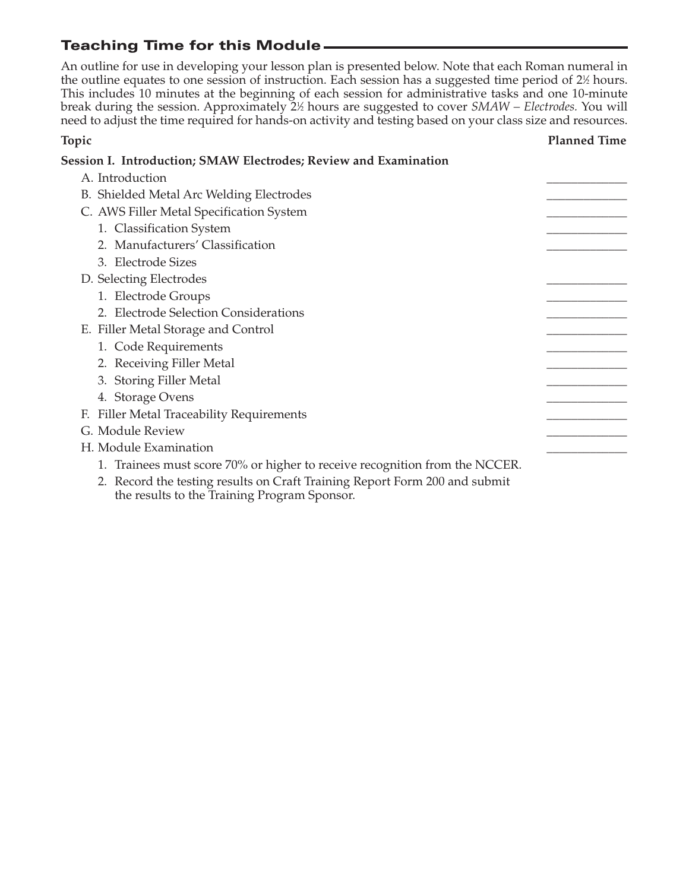# **Teaching Time for this Module**

An outline for use in developing your lesson plan is presented below. Note that each Roman numeral in the outline equates to one session of instruction. Each session has a suggested time period of  $2\%$  hours. This includes 10 minutes at the beginning of each session for administrative tasks and one 10-minute break during the session. Approximately 21 ⁄2 hours are suggested to cover *SMAW – Electrodes.* You will need to adjust the time required for hands-on activity and testing based on your class size and resources.

| Topic                                                                       | <b>Planned Time</b> |
|-----------------------------------------------------------------------------|---------------------|
| Session I. Introduction; SMAW Electrodes; Review and Examination            |                     |
| A. Introduction                                                             |                     |
| B. Shielded Metal Arc Welding Electrodes                                    |                     |
| C. AWS Filler Metal Specification System                                    |                     |
| 1. Classification System                                                    |                     |
| 2. Manufacturers' Classification                                            |                     |
| 3. Electrode Sizes                                                          |                     |
| D. Selecting Electrodes                                                     |                     |
| 1. Electrode Groups                                                         |                     |
| 2. Electrode Selection Considerations                                       |                     |
| E. Filler Metal Storage and Control                                         |                     |
| 1. Code Requirements                                                        |                     |
| 2. Receiving Filler Metal                                                   |                     |
| 3. Storing Filler Metal                                                     |                     |
| 4. Storage Ovens                                                            |                     |
| F. Filler Metal Traceability Requirements                                   |                     |
| G. Module Review                                                            |                     |
| H. Module Examination                                                       |                     |
| 1. Trainees must score 70% or higher to receive recognition from the NCCER. |                     |
| 2. Record the testing results on Craft Training Report Form 200 and submit  |                     |

the results to the Training Program Sponsor.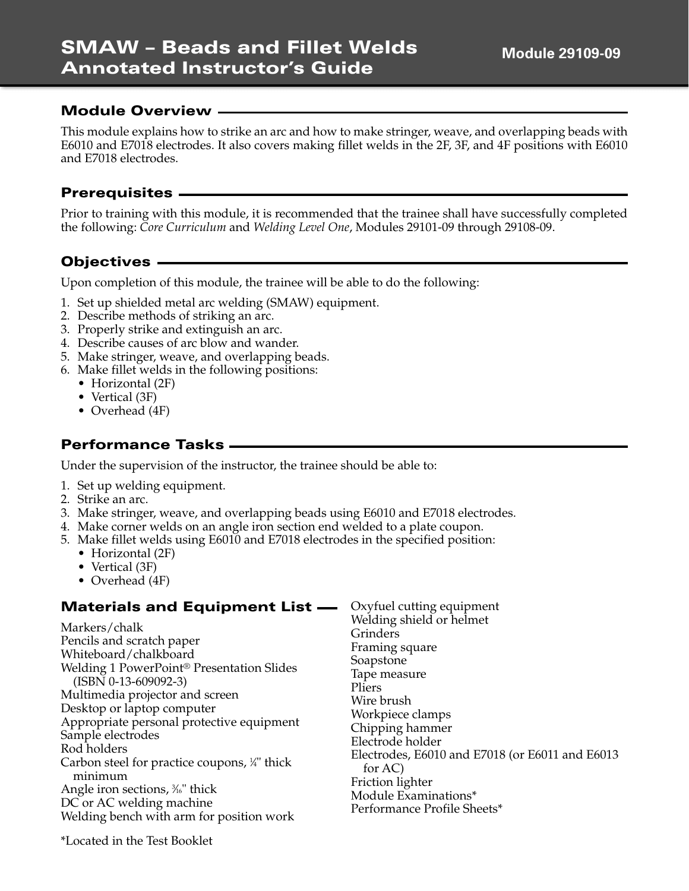This module explains how to strike an arc and how to make stringer, weave, and overlapping beads with E6010 and E7018 electrodes. It also covers making fillet welds in the 2F, 3F, and 4F positions with E6010 and E7018 electrodes.

#### **Prerequisites**

Prior to training with this module, it is recommended that the trainee shall have successfully completed the following: *Core Curriculum* and *Welding Level One*, Modules 29101-09 through 29108-09.

## **Objectives**

Upon completion of this module, the trainee will be able to do the following:

- 1. Set up shielded metal arc welding (SMAW) equipment.
- 2. Describe methods of striking an arc.
- 3. Properly strike and extinguish an arc.
- 4. Describe causes of arc blow and wander.
- 5. Make stringer, weave, and overlapping beads.
- 6. Make fillet welds in the following positions:
	- Horizontal (2F)
	- Vertical (3F)
	- Overhead (4F)

## **Performance Tasks**

Under the supervision of the instructor, the trainee should be able to:

- 1. Set up welding equipment.
- 2. Strike an arc.
- 3. Make stringer, weave, and overlapping beads using E6010 and E7018 electrodes.
- 4. Make corner welds on an angle iron section end welded to a plate coupon.
- 5. Make fillet welds using E6010 and E7018 electrodes in the specified position:
	- Horizontal (2F)
	- Vertical (3F)
	- Overhead (4F)

#### **Materials and Equipment List**

Markers/chalk Pencils and scratch paper Whiteboard/chalkboard Welding 1 PowerPoint® Presentation Slides (ISBN 0-13-609092-3) Multimedia projector and screen Desktop or laptop computer Appropriate personal protective equipment Sample electrodes Rod holders Carbon steel for practice coupons, 1 ⁄4" thick minimum Angle iron sections*,* ¾ thick DC or AC welding machine Welding bench with arm for position work

Oxyfuel cutting equipment Welding shield or helmet Grinders Framing square Soapstone Tape measure Pliers Wire brush Workpiece clamps Chipping hammer Electrode holder Electrodes, E6010 and E7018 (or E6011 and E6013 for AC) Friction lighter Module Examinations\* Performance Profile Sheets\*

\*Located in the Test Booklet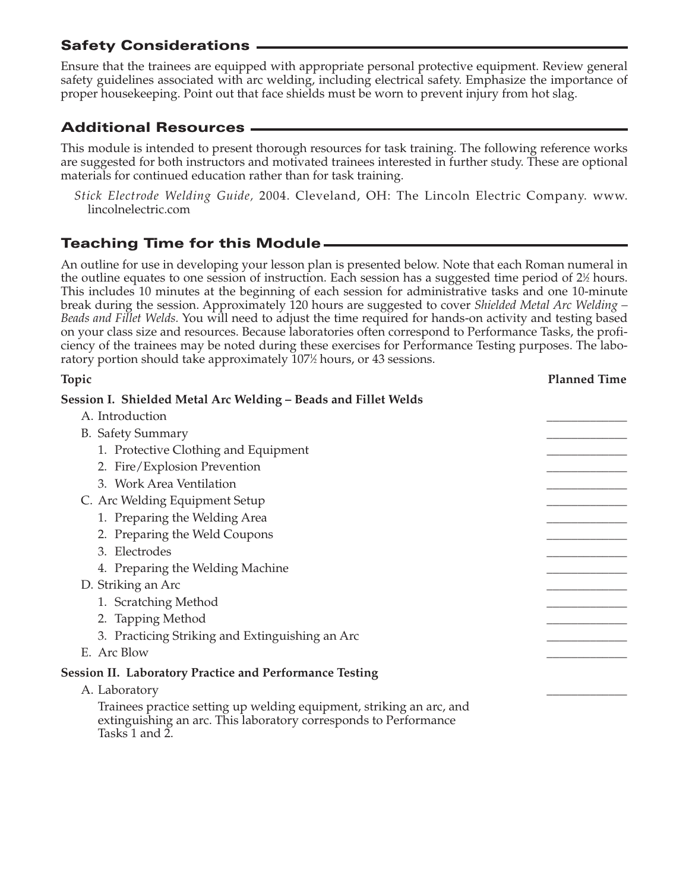Ensure that the trainees are equipped with appropriate personal protective equipment. Review general safety guidelines associated with arc welding, including electrical safety. Emphasize the importance of proper housekeeping. Point out that face shields must be worn to prevent injury from hot slag.

# **Additional Resources**

This module is intended to present thorough resources for task training. The following reference works are suggested for both instructors and motivated trainees interested in further study. These are optional materials for continued education rather than for task training.

*Stick Electrode Welding Guide,* 2004. Cleveland, OH: The Lincoln Electric Company. www. lincolnelectric.com

# **Teaching Time for this Module**

An outline for use in developing your lesson plan is presented below. Note that each Roman numeral in the outline equates to one session of instruction. Each session has a suggested time period of 2½ hours. This includes 10 minutes at the beginning of each session for administrative tasks and one 10-minute break during the session. Approximately 120 hours are suggested to cover *Shielded Metal Arc Welding – Beads and Fillet Welds.* You will need to adjust the time required for hands-on activity and testing based on your class size and resources. Because laboratories often correspond to Performance Tasks, the proficiency of the trainees may be noted during these exercises for Performance Testing purposes. The laboratory portion should take approximately 107½ hours, or 43 sessions.

| Topic                                                                                                                                                     | <b>Planned Time</b> |
|-----------------------------------------------------------------------------------------------------------------------------------------------------------|---------------------|
| Session I. Shielded Metal Arc Welding - Beads and Fillet Welds                                                                                            |                     |
| A. Introduction                                                                                                                                           |                     |
| <b>B.</b> Safety Summary                                                                                                                                  |                     |
| 1. Protective Clothing and Equipment                                                                                                                      |                     |
| 2. Fire/Explosion Prevention                                                                                                                              |                     |
| 3. Work Area Ventilation                                                                                                                                  |                     |
| C. Arc Welding Equipment Setup                                                                                                                            |                     |
| 1. Preparing the Welding Area                                                                                                                             |                     |
| 2. Preparing the Weld Coupons                                                                                                                             |                     |
| 3. Electrodes                                                                                                                                             |                     |
| 4. Preparing the Welding Machine                                                                                                                          |                     |
| D. Striking an Arc                                                                                                                                        |                     |
| 1. Scratching Method                                                                                                                                      |                     |
| 2. Tapping Method                                                                                                                                         |                     |
| 3. Practicing Striking and Extinguishing an Arc                                                                                                           |                     |
| E. Arc Blow                                                                                                                                               |                     |
| <b>Session II. Laboratory Practice and Performance Testing</b>                                                                                            |                     |
| A. Laboratory                                                                                                                                             |                     |
| Trainees practice setting up welding equipment, striking an arc, and<br>extinguishing an arc. This laboratory corresponds to Performance<br>Tasks 1 and 2 |                     |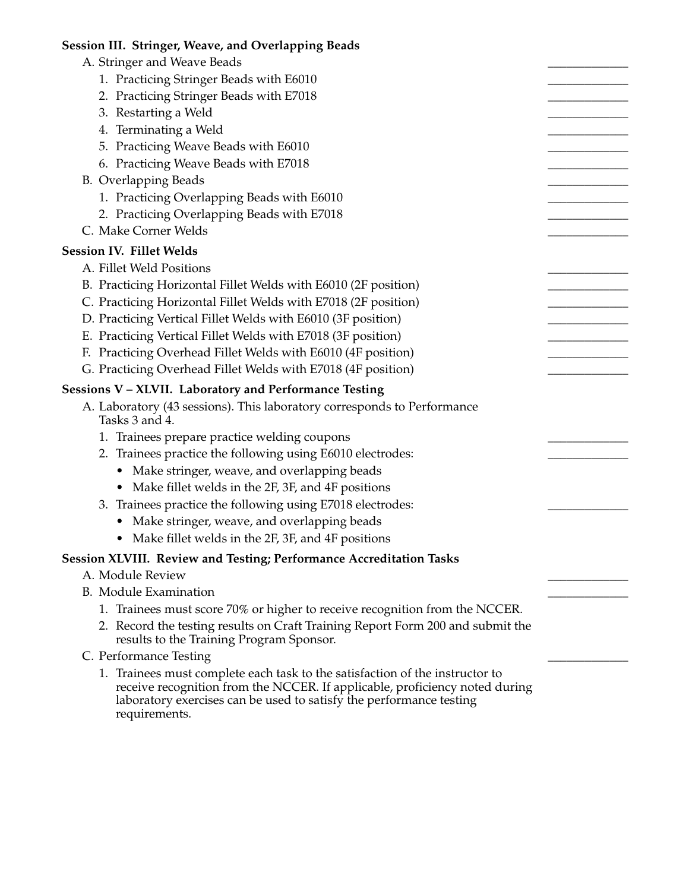| Session III. Stringer, Weave, and Overlapping Beads                                                                                                                                                                                                 |  |
|-----------------------------------------------------------------------------------------------------------------------------------------------------------------------------------------------------------------------------------------------------|--|
| A. Stringer and Weave Beads                                                                                                                                                                                                                         |  |
| 1. Practicing Stringer Beads with E6010                                                                                                                                                                                                             |  |
| 2. Practicing Stringer Beads with E7018                                                                                                                                                                                                             |  |
| 3. Restarting a Weld                                                                                                                                                                                                                                |  |
| 4. Terminating a Weld                                                                                                                                                                                                                               |  |
| 5. Practicing Weave Beads with E6010                                                                                                                                                                                                                |  |
| 6. Practicing Weave Beads with E7018                                                                                                                                                                                                                |  |
| <b>B.</b> Overlapping Beads                                                                                                                                                                                                                         |  |
| 1. Practicing Overlapping Beads with E6010                                                                                                                                                                                                          |  |
| 2. Practicing Overlapping Beads with E7018                                                                                                                                                                                                          |  |
| C. Make Corner Welds                                                                                                                                                                                                                                |  |
| <b>Session IV. Fillet Welds</b>                                                                                                                                                                                                                     |  |
| A. Fillet Weld Positions                                                                                                                                                                                                                            |  |
| B. Practicing Horizontal Fillet Welds with E6010 (2F position)                                                                                                                                                                                      |  |
| C. Practicing Horizontal Fillet Welds with E7018 (2F position)                                                                                                                                                                                      |  |
| D. Practicing Vertical Fillet Welds with E6010 (3F position)                                                                                                                                                                                        |  |
| E. Practicing Vertical Fillet Welds with E7018 (3F position)                                                                                                                                                                                        |  |
| F. Practicing Overhead Fillet Welds with E6010 (4F position)                                                                                                                                                                                        |  |
| G. Practicing Overhead Fillet Welds with E7018 (4F position)                                                                                                                                                                                        |  |
| Sessions V - XLVII. Laboratory and Performance Testing                                                                                                                                                                                              |  |
| A. Laboratory (43 sessions). This laboratory corresponds to Performance<br>Tasks 3 and 4.                                                                                                                                                           |  |
| 1. Trainees prepare practice welding coupons                                                                                                                                                                                                        |  |
| 2. Trainees practice the following using E6010 electrodes:                                                                                                                                                                                          |  |
| • Make stringer, weave, and overlapping beads                                                                                                                                                                                                       |  |
| • Make fillet welds in the 2F, 3F, and 4F positions                                                                                                                                                                                                 |  |
| 3. Trainees practice the following using E7018 electrodes:                                                                                                                                                                                          |  |
| Make stringer, weave, and overlapping beads                                                                                                                                                                                                         |  |
| Make fillet welds in the 2F, 3F, and 4F positions                                                                                                                                                                                                   |  |
| Session XLVIII. Review and Testing; Performance Accreditation Tasks                                                                                                                                                                                 |  |
| A. Module Review                                                                                                                                                                                                                                    |  |
| <b>B.</b> Module Examination                                                                                                                                                                                                                        |  |
| 1. Trainees must score 70% or higher to receive recognition from the NCCER.                                                                                                                                                                         |  |
| 2. Record the testing results on Craft Training Report Form 200 and submit the<br>results to the Training Program Sponsor.                                                                                                                          |  |
| C. Performance Testing                                                                                                                                                                                                                              |  |
| 1. Trainees must complete each task to the satisfaction of the instructor to<br>receive recognition from the NCCER. If applicable, proficiency noted during<br>laboratory exercises can be used to satisfy the performance testing<br>requirements. |  |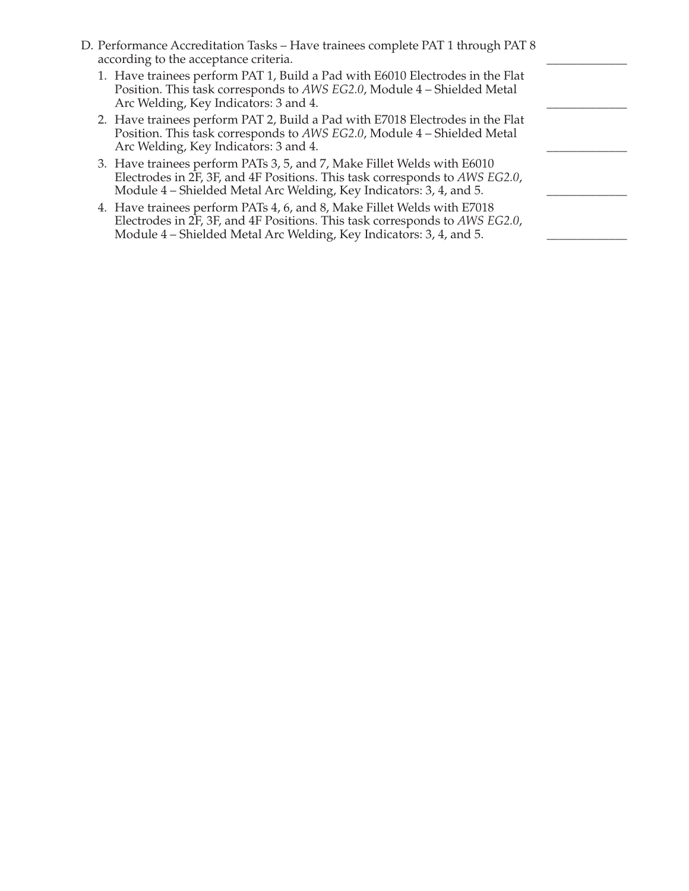| D. Performance Accreditation Tasks - Have trainees complete PAT 1 through PAT 8<br>according to the acceptance criteria.                                                                                                      |  |
|-------------------------------------------------------------------------------------------------------------------------------------------------------------------------------------------------------------------------------|--|
| 1. Have trainees perform PAT 1, Build a Pad with E6010 Electrodes in the Flat<br>Position. This task corresponds to AWS EG2.0, Module 4 - Shielded Metal<br>Arc Welding, Key Indicators: 3 and 4.                             |  |
| 2. Have trainees perform PAT 2, Build a Pad with E7018 Electrodes in the Flat<br>Position. This task corresponds to AWS EG2.0, Module 4 - Shielded Metal<br>Arc Welding, Key Indicators: 3 and 4.                             |  |
| 3. Have trainees perform PATs 3, 5, and 7, Make Fillet Welds with E6010<br>Electrodes in 2F, 3F, and 4F Positions. This task corresponds to AWS EG2.0,<br>Module 4 – Shielded Metal Arc Welding, Key Indicators: 3, 4, and 5. |  |
| 4. Have trainees perform PATs 4, 6, and 8, Make Fillet Welds with E7018<br>Electrodes in 2F, 3F, and 4F Positions. This task corresponds to AWS EG2.0,<br>Module 4 – Shielded Metal Arc Welding, Key Indicators: 3, 4, and 5. |  |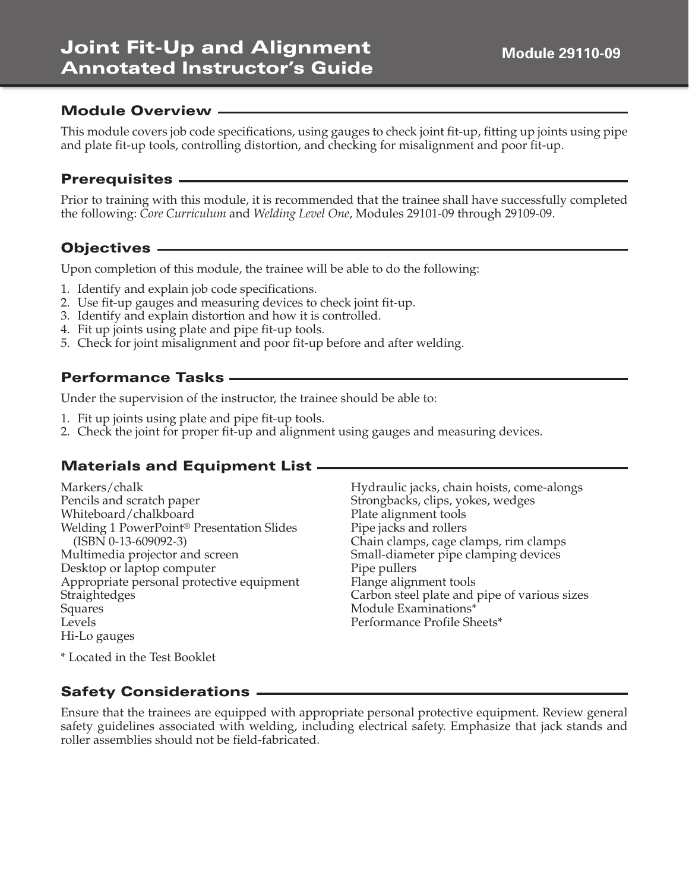#### **Module 29110-09**

## **Module Overview**

This module covers job code specifications, using gauges to check joint fit-up, fitting up joints using pipe and plate fit-up tools, controlling distortion, and checking for misalignment and poor fit-up.

## **Prerequisites**

Prior to training with this module, it is recommended that the trainee shall have successfully completed the following: *Core Curriculum* and *Welding Level One*, Modules 29101-09 through 29109-09.

# **Objectives**

Upon completion of this module, the trainee will be able to do the following:

- 1. Identify and explain job code specifications.
- 2. Use fit-up gauges and measuring devices to check joint fit-up.
- 3. Identify and explain distortion and how it is controlled.
- 4. Fit up joints using plate and pipe fit-up tools.
- 5. Check for joint misalignment and poor fit-up before and after welding.

## **Performance Tasks**

Under the supervision of the instructor, the trainee should be able to:

- 1. Fit up joints using plate and pipe fit-up tools.
- 2. Check the joint for proper fit-up and alignment using gauges and measuring devices.

# **Materials and Equipment List**

| Markers/chalk                                         | Hydraulic jacks, chain hoists, come-alongs   |
|-------------------------------------------------------|----------------------------------------------|
| Pencils and scratch paper                             | Strongbacks, clips, yokes, wedges            |
| Whiteboard/chalkboard                                 | Plate alignment tools                        |
| Welding 1 PowerPoint <sup>®</sup> Presentation Slides | Pipe jacks and rollers                       |
| $(ISBN 0-13-609092-3)$                                | Chain clamps, cage clamps, rim clamps        |
| Multimedia projector and screen                       | Small-diameter pipe clamping devices         |
| Desktop or laptop computer                            | Pipe pullers                                 |
| Appropriate personal protective equipment             | Flange alignment tools                       |
| Straightedges                                         | Carbon steel plate and pipe of various sizes |
| Squares                                               | Module Examinations*                         |
| Levels                                                | Performance Profile Sheets*                  |
| Hi-Lo gauges                                          |                                              |

\* Located in the Test Booklet

# **Safety Considerations**

Ensure that the trainees are equipped with appropriate personal protective equipment. Review general safety guidelines associated with welding, including electrical safety. Emphasize that jack stands and roller assemblies should not be field-fabricated.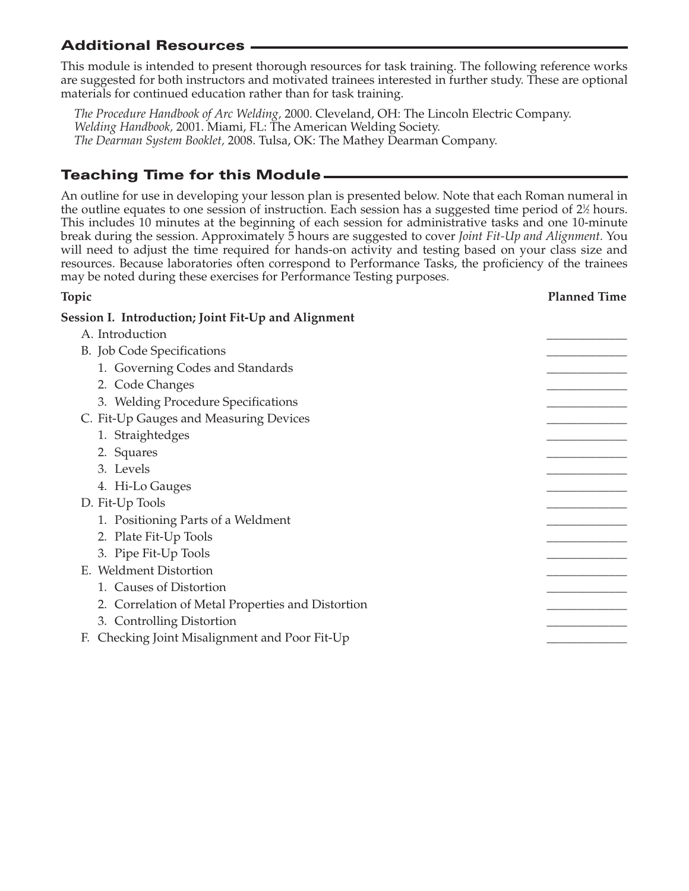# **Additional Resources**

This module is intended to present thorough resources for task training. The following reference works are suggested for both instructors and motivated trainees interested in further study. These are optional materials for continued education rather than for task training.

*The Procedure Handbook of Arc Welding,* 2000. Cleveland, OH: The Lincoln Electric Company. *Welding Handbook,* 2001. Miami, FL: The American Welding Society. *The Dearman System Booklet,* 2008. Tulsa, OK: The Mathey Dearman Company.

# **Teaching Time for this Module**

An outline for use in developing your lesson plan is presented below. Note that each Roman numeral in the outline equates to one session of instruction. Each session has a suggested time period of 2½ hours. This includes 10 minutes at the beginning of each session for administrative tasks and one 10-minute break during the session. Approximately 5 hours are suggested to cover *Joint Fit-Up and Alignment.* You will need to adjust the time required for hands-on activity and testing based on your class size and resources. Because laboratories often correspond to Performance Tasks, the proficiency of the trainees may be noted during these exercises for Performance Testing purposes.

| Topic                                               | <b>Planned Time</b> |
|-----------------------------------------------------|---------------------|
| Session I. Introduction; Joint Fit-Up and Alignment |                     |
| A. Introduction                                     |                     |
| B. Job Code Specifications                          |                     |
| 1. Governing Codes and Standards                    |                     |
| 2. Code Changes                                     |                     |
| 3. Welding Procedure Specifications                 |                     |
| C. Fit-Up Gauges and Measuring Devices              |                     |
| 1. Straightedges                                    |                     |
| 2. Squares                                          |                     |
| 3. Levels                                           |                     |
| 4. Hi-Lo Gauges                                     |                     |
| D. Fit-Up Tools                                     |                     |
| 1. Positioning Parts of a Weldment                  |                     |
| 2. Plate Fit-Up Tools                               |                     |
| 3. Pipe Fit-Up Tools                                |                     |
| E. Weldment Distortion                              |                     |
| 1. Causes of Distortion                             |                     |
| 2. Correlation of Metal Properties and Distortion   |                     |
| 3. Controlling Distortion                           |                     |
| Checking Joint Misalignment and Poor Fit-Up<br>F.   |                     |
|                                                     |                     |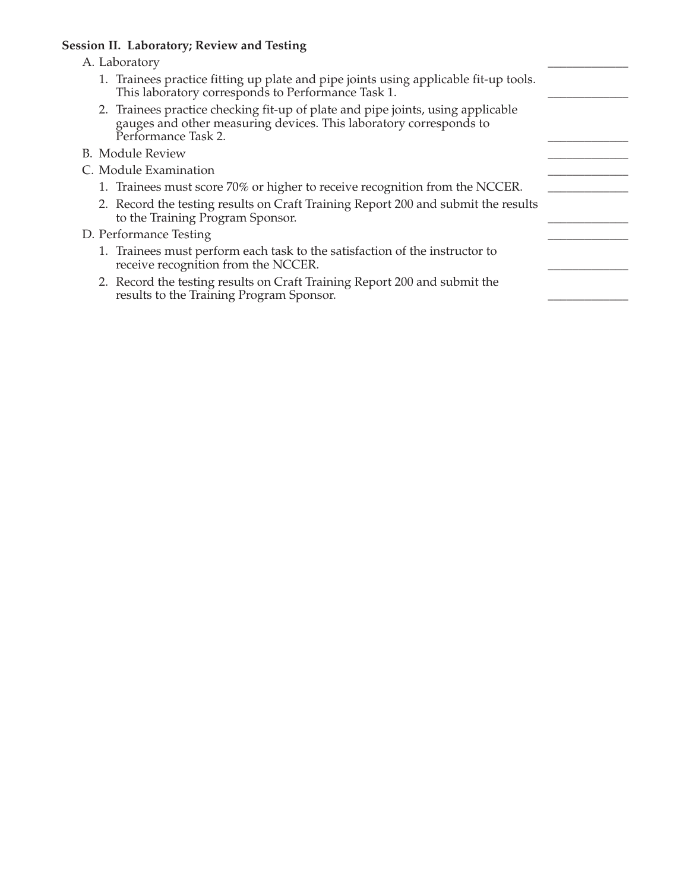#### **Session II. Laboratory; Review and Testing**

#### A. Laboratory

| 1. Trainees practice fitting up plate and pipe joints using applicable fit-up tools. |  |
|--------------------------------------------------------------------------------------|--|
| This laboratory corresponds to Performance Task 1.                                   |  |

- 2. Trainees practice checking fit-up of plate and pipe joints, using applicable gauges and other measuring devices. This laboratory corresponds to Performance Task 2.
- B. Module Review
- C. Module Examination
	- 1. Trainees must score 70% or higher to receive recognition from the NCCER.
	- 2. Record the testing results on Craft Training Report 200 and submit the results to the Training Program Sponsor.

#### D. Performance Testing

- 1. Trainees must perform each task to the satisfaction of the instructor to receive recognition from the NCCER.
- 2. Record the testing results on Craft Training Report 200 and submit the results to the Training Program Sponsor.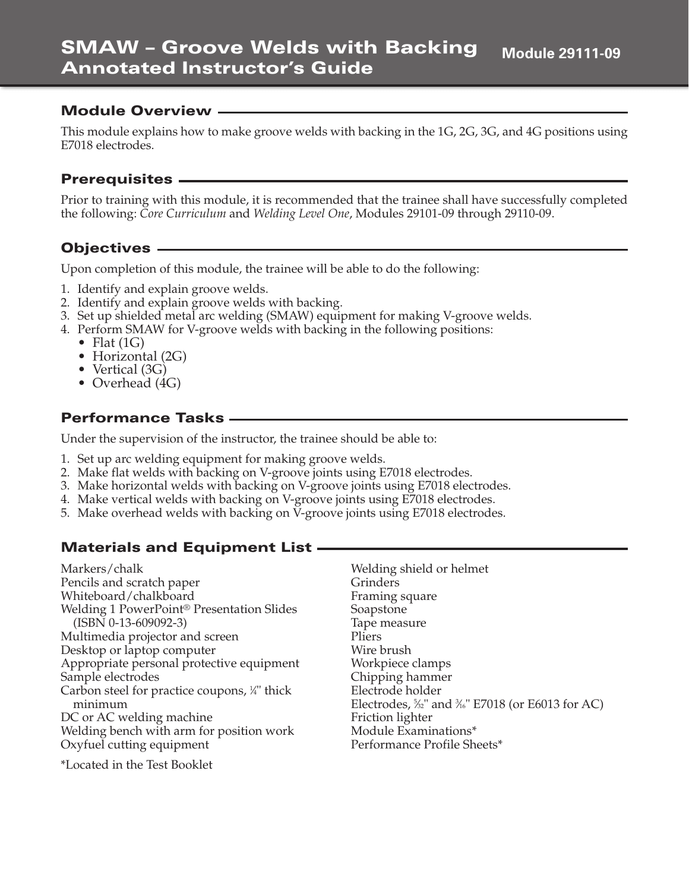This module explains how to make groove welds with backing in the 1G, 2G, 3G, and 4G positions using E7018 electrodes.

## **Prerequisites**

Prior to training with this module, it is recommended that the trainee shall have successfully completed the following: *Core Curriculum* and *Welding Level One*, Modules 29101-09 through 29110-09.

## **Objectives**

Upon completion of this module, the trainee will be able to do the following:

- 1. Identify and explain groove welds.
- 2. Identify and explain groove welds with backing.
- 3. Set up shielded metal arc welding (SMAW) equipment for making V-groove welds.
- 4. Perform SMAW for V-groove welds with backing in the following positions:
	- Flat  $(1G)$
	- Horizontal (2G)
	- Vertical (3G)
	- Overhead (4G)

## **Performance Tasks**

Under the supervision of the instructor, the trainee should be able to:

- 1. Set up arc welding equipment for making groove welds.
- 2. Make flat welds with backing on V-groove joints using E7018 electrodes.
- 3. Make horizontal welds with backing on V-groove joints using E7018 electrodes.
- 4. Make vertical welds with backing on V-groove joints using E7018 electrodes.
- 5. Make overhead welds with backing on V-groove joints using E7018 electrodes.

# **Materials and Equipment List**

Markers/chalk Pencils and scratch paper Whiteboard/chalkboard Welding 1 PowerPoint® Presentation Slides (ISBN 0-13-609092-3) Multimedia projector and screen Desktop or laptop computer Appropriate personal protective equipment Sample electrodes Carbon steel for practice coupons, ¼" thick minimum DC or AC welding machine Welding bench with arm for position work Oxyfuel cutting equipment

\*Located in the Test Booklet

Welding shield or helmet Grinders Framing square Soapstone Tape measure Pliers Wire brush Workpiece clamps Chipping hammer Electrode holder Electrodes, 5 ⁄32" and 3 ⁄16" E7018 (or E6013 for AC) Friction lighter Module Examinations\* Performance Profile Sheets\*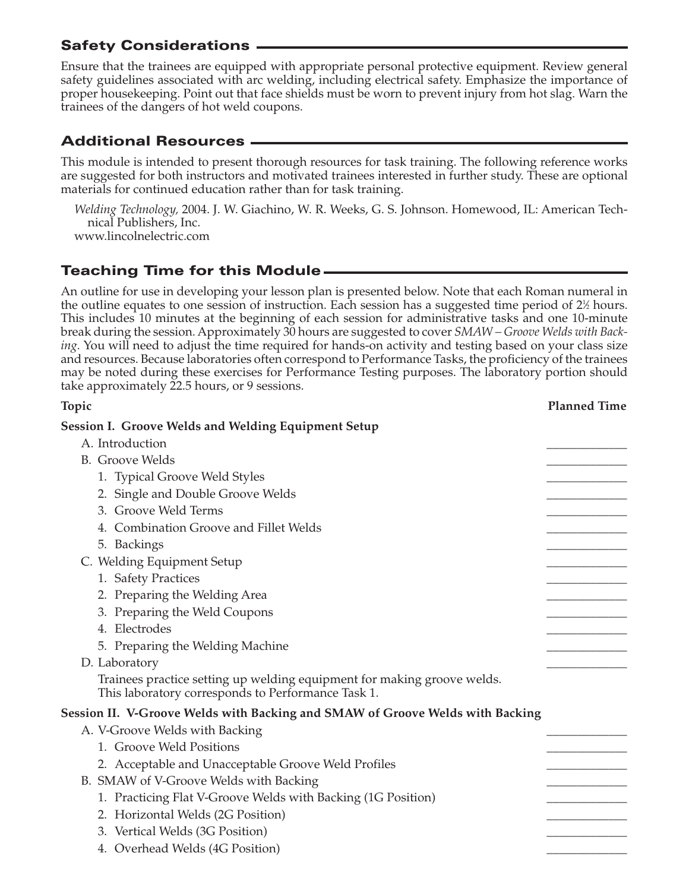Ensure that the trainees are equipped with appropriate personal protective equipment. Review general safety guidelines associated with arc welding, including electrical safety. Emphasize the importance of proper housekeeping. Point out that face shields must be worn to prevent injury from hot slag. Warn the trainees of the dangers of hot weld coupons.

# **Additional Resources**

This module is intended to present thorough resources for task training. The following reference works are suggested for both instructors and motivated trainees interested in further study. These are optional materials for continued education rather than for task training.

*Welding Technology,* 2004. J. W. Giachino, W. R. Weeks, G. S. Johnson. Homewood, IL: American Technical Publishers, Inc.

www.lincolnelectric.com

# **Teaching Time for this Module**

An outline for use in developing your lesson plan is presented below. Note that each Roman numeral in the outline equates to one session of instruction. Each session has a suggested time period of 2½ hours. This includes 10 minutes at the beginning of each session for administrative tasks and one 10-minute break during the session. Approximately 30 hours are suggested to cover *SMAW – Groove Welds with Backing.* You will need to adjust the time required for hands-on activity and testing based on your class size and resources. Because laboratories often correspond to Performance Tasks, the proficiency of the trainees may be noted during these exercises for Performance Testing purposes. The laboratory portion should take approximately 22.5 hours, or 9 sessions.

| Topic                                                                                                                         | <b>Planned Time</b> |
|-------------------------------------------------------------------------------------------------------------------------------|---------------------|
| <b>Session I. Groove Welds and Welding Equipment Setup</b>                                                                    |                     |
| A. Introduction                                                                                                               |                     |
| <b>B.</b> Groove Welds                                                                                                        |                     |
| 1. Typical Groove Weld Styles                                                                                                 |                     |
| 2. Single and Double Groove Welds                                                                                             |                     |
| 3. Groove Weld Terms                                                                                                          |                     |
| 4. Combination Groove and Fillet Welds                                                                                        |                     |
| 5. Backings                                                                                                                   |                     |
| C. Welding Equipment Setup                                                                                                    |                     |
| 1. Safety Practices                                                                                                           |                     |
| 2. Preparing the Welding Area                                                                                                 |                     |
| 3. Preparing the Weld Coupons                                                                                                 |                     |
| 4. Electrodes                                                                                                                 |                     |
| 5. Preparing the Welding Machine                                                                                              |                     |
| D. Laboratory                                                                                                                 |                     |
| Trainees practice setting up welding equipment for making groove welds.<br>This laboratory corresponds to Performance Task 1. |                     |
| Session II. V-Groove Welds with Backing and SMAW of Groove Welds with Backing                                                 |                     |
| A. V-Groove Welds with Backing                                                                                                |                     |
| 1. Groove Weld Positions                                                                                                      |                     |
| 2. Acceptable and Unacceptable Groove Weld Profiles                                                                           |                     |
| B. SMAW of V-Groove Welds with Backing                                                                                        |                     |
| 1. Practicing Flat V-Groove Welds with Backing (1G Position)                                                                  |                     |
| 2. Horizontal Welds (2G Position)                                                                                             |                     |
| 3. Vertical Welds (3G Position)                                                                                               |                     |
| 4. Overhead Welds (4G Position)                                                                                               |                     |
|                                                                                                                               |                     |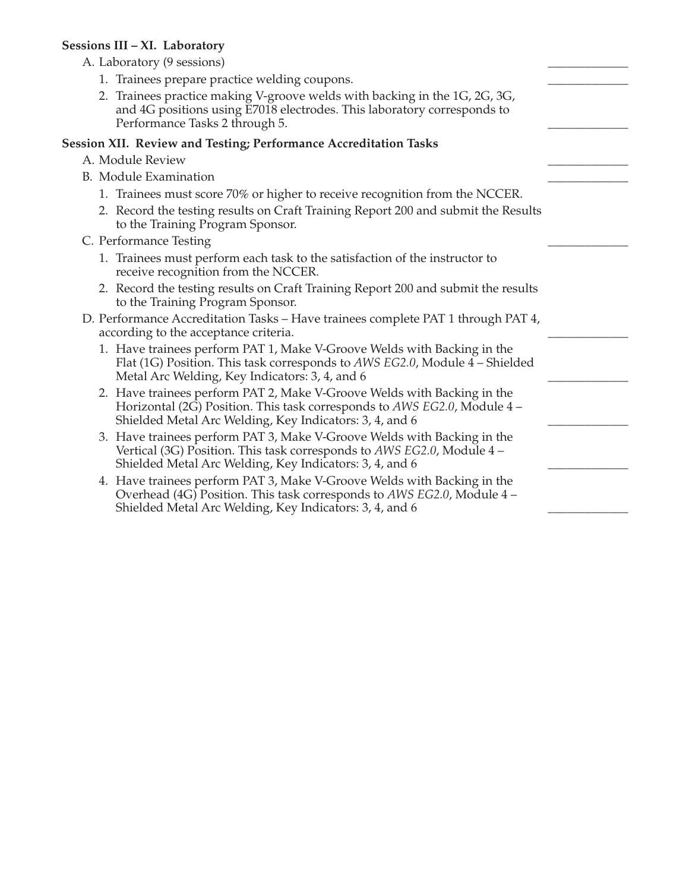#### **Sessions III – XI. Laboratory**

| A. Laboratory (9 sessions)                                                                                                                                                                                     |  |
|----------------------------------------------------------------------------------------------------------------------------------------------------------------------------------------------------------------|--|
| 1. Trainees prepare practice welding coupons.                                                                                                                                                                  |  |
| 2. Trainees practice making V-groove welds with backing in the 1G, 2G, 3G,<br>and 4G positions using E7018 electrodes. This laboratory corresponds to<br>Performance Tasks 2 through 5.                        |  |
| <b>Session XII. Review and Testing; Performance Accreditation Tasks</b>                                                                                                                                        |  |
| A. Module Review                                                                                                                                                                                               |  |
| <b>B.</b> Module Examination                                                                                                                                                                                   |  |
| 1. Trainees must score 70% or higher to receive recognition from the NCCER.                                                                                                                                    |  |
| 2. Record the testing results on Craft Training Report 200 and submit the Results<br>to the Training Program Sponsor.                                                                                          |  |
| C. Performance Testing                                                                                                                                                                                         |  |
| 1. Trainees must perform each task to the satisfaction of the instructor to<br>receive recognition from the NCCER.                                                                                             |  |
| 2. Record the testing results on Craft Training Report 200 and submit the results<br>to the Training Program Sponsor.                                                                                          |  |
| D. Performance Accreditation Tasks - Have trainees complete PAT 1 through PAT 4,<br>according to the acceptance criteria.                                                                                      |  |
| 1. Have trainees perform PAT 1, Make V-Groove Welds with Backing in the<br>Flat (1G) Position. This task corresponds to AWS EG2.0, Module 4 – Shielded<br>Metal Arc Welding, Key Indicators: 3, 4, and 6       |  |
| 2. Have trainees perform PAT 2, Make V-Groove Welds with Backing in the<br>Horizontal (2G) Position. This task corresponds to AWS EG2.0, Module 4 –<br>Shielded Metal Arc Welding, Key Indicators: 3, 4, and 6 |  |
| 3. Have trainees perform PAT 3, Make V-Groove Welds with Backing in the<br>Vertical (3G) Position. This task corresponds to AWS EG2.0, Module 4 –<br>Shielded Metal Arc Welding, Key Indicators: 3, 4, and 6   |  |
| 4. Have trainees perform PAT 3, Make V-Groove Welds with Backing in the<br>Overhead (4G) Position. This task corresponds to AWS EG2.0, Module 4 -<br>Shielded Metal Arc Welding, Key Indicators: 3, 4, and 6   |  |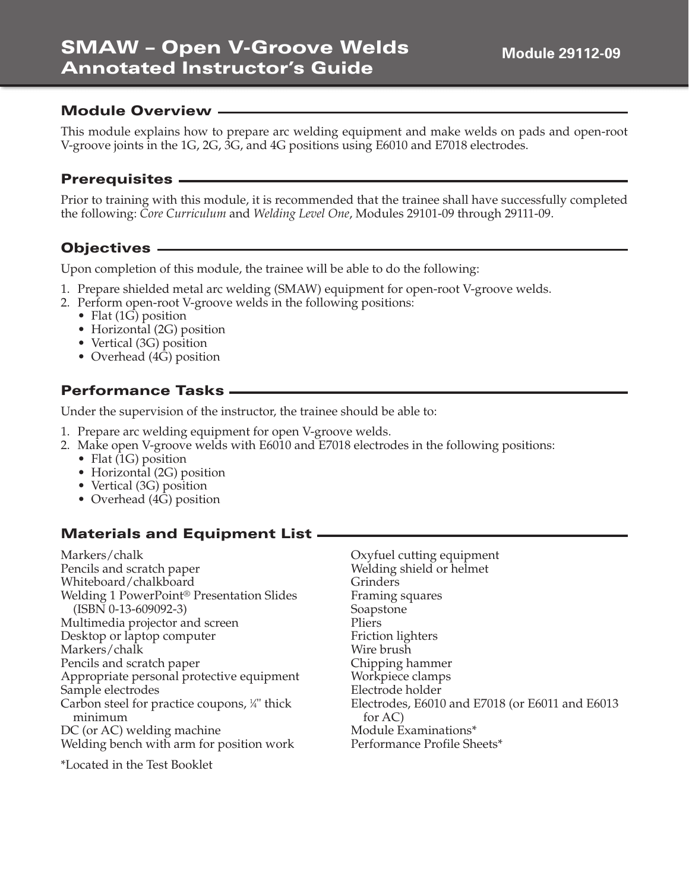This module explains how to prepare arc welding equipment and make welds on pads and open-root V-groove joints in the 1G, 2G, 3G, and 4G positions using E6010 and E7018 electrodes.

#### **Prerequisites**

Prior to training with this module, it is recommended that the trainee shall have successfully completed the following: *Core Curriculum* and *Welding Level One*, Modules 29101-09 through 29111-09.

## **Objectives**

Upon completion of this module, the trainee will be able to do the following:

- 1. Prepare shielded metal arc welding (SMAW) equipment for open-root V-groove welds.
- 2. Perform open-root V-groove welds in the following positions:
	- Flat  $(1\overline{G})$  position
	- Horizontal (2G) position
	- Vertical (3G) position
	- Overhead (4G) position

## **Performance Tasks**

Under the supervision of the instructor, the trainee should be able to:

- 1. Prepare arc welding equipment for open V-groove welds.
- 2. Make open V-groove welds with E6010 and E7018 electrodes in the following positions:
	- Flat (1G) position
	- Horizontal (2G) position
	- Vertical (3G) position
	- Overhead (4G) position

# **Materials and Equipment List**

Markers/chalk Pencils and scratch paper Whiteboard/chalkboard Welding 1 PowerPoint® Presentation Slides (ISBN 0-13-609092-3) Multimedia projector and screen Desktop or laptop computer Markers/chalk Pencils and scratch paper Appropriate personal protective equipment Sample electrodes Carbon steel for practice coupons, <sup>1/4</sup> thick minimum DC (or AC) welding machine Welding bench with arm for position work

\*Located in the Test Booklet

Oxyfuel cutting equipment Welding shield or helmet Grinders Framing squares Soapstone Pliers Friction lighters Wire brush Chipping hammer Workpiece clamps Electrode holder Electrodes, E6010 and E7018 (or E6011 and E6013 for AC) Module Examinations\* Performance Profile Sheets\*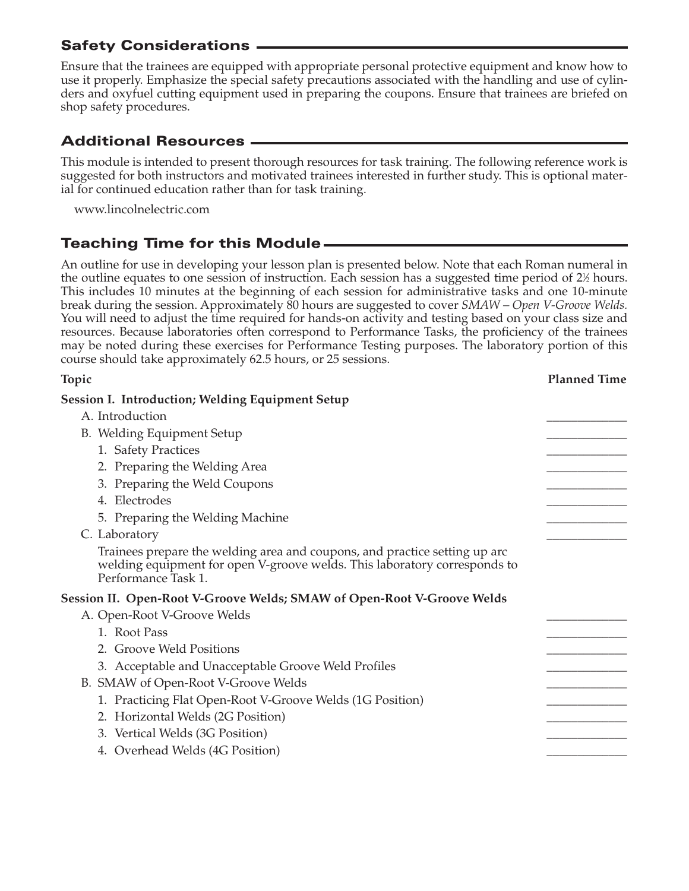Ensure that the trainees are equipped with appropriate personal protective equipment and know how to use it properly. Emphasize the special safety precautions associated with the handling and use of cylinders and oxyfuel cutting equipment used in preparing the coupons. Ensure that trainees are briefed on shop safety procedures.

# **Additional Resources**

This module is intended to present thorough resources for task training. The following reference work is suggested for both instructors and motivated trainees interested in further study. This is optional material for continued education rather than for task training.

www.lincolnelectric.com

# **Teaching Time for this Module**

An outline for use in developing your lesson plan is presented below. Note that each Roman numeral in the outline equates to one session of instruction. Each session has a suggested time period of 2½ hours. This includes 10 minutes at the beginning of each session for administrative tasks and one 10-minute break during the session. Approximately 80 hours are suggested to cover *SMAW – Open V-Groove Welds.* You will need to adjust the time required for hands-on activity and testing based on your class size and resources. Because laboratories often correspond to Performance Tasks, the proficiency of the trainees may be noted during these exercises for Performance Testing purposes. The laboratory portion of this course should take approximately 62.5 hours, or 25 sessions.

| Topic                                                                                                                                                                          | <b>Planned Time</b> |
|--------------------------------------------------------------------------------------------------------------------------------------------------------------------------------|---------------------|
| <b>Session I. Introduction; Welding Equipment Setup</b>                                                                                                                        |                     |
| A. Introduction                                                                                                                                                                |                     |
| B. Welding Equipment Setup                                                                                                                                                     |                     |
| 1. Safety Practices                                                                                                                                                            |                     |
| 2. Preparing the Welding Area                                                                                                                                                  |                     |
| 3. Preparing the Weld Coupons                                                                                                                                                  |                     |
| 4. Electrodes                                                                                                                                                                  |                     |
| 5. Preparing the Welding Machine                                                                                                                                               |                     |
| C. Laboratory                                                                                                                                                                  |                     |
| Trainees prepare the welding area and coupons, and practice setting up arc<br>welding equipment for open V-groove welds. This laboratory corresponds to<br>Performance Task 1. |                     |
| Session II.  Open-Root V-Groove Welds; SMAW of Open-Root V-Groove Welds                                                                                                        |                     |
| A. Open-Root V-Groove Welds                                                                                                                                                    |                     |
| 1. Root Pass                                                                                                                                                                   |                     |
| 2. Groove Weld Positions                                                                                                                                                       |                     |
| 3. Acceptable and Unacceptable Groove Weld Profiles                                                                                                                            |                     |
| B. SMAW of Open-Root V-Groove Welds                                                                                                                                            |                     |
| 1. Practicing Flat Open-Root V-Groove Welds (1G Position)                                                                                                                      |                     |
| 2. Horizontal Welds (2G Position)                                                                                                                                              |                     |
| 3. Vertical Welds (3G Position)                                                                                                                                                |                     |
| 4. Overhead Welds (4G Position)                                                                                                                                                |                     |
|                                                                                                                                                                                |                     |